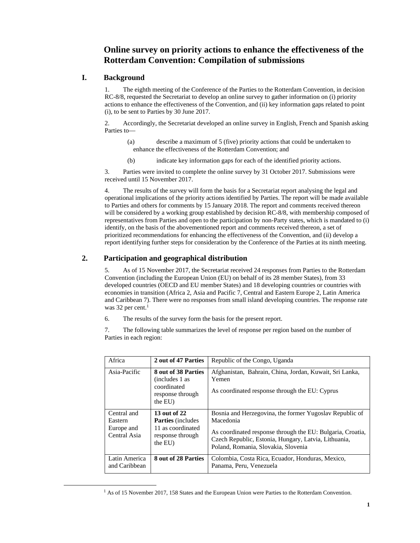### **Online survey on priority actions to enhance the effectiveness of the Rotterdam Convention: Compilation of submissions**

#### **I. Background**

1. The eighth meeting of the Conference of the Parties to the Rotterdam Convention, in decision RC-8/8, requested the Secretariat to develop an online survey to gather information on (i) priority actions to enhance the effectiveness of the Convention, and (ii) key information gaps related to point (i), to be sent to Parties by 30 June 2017.

2. Accordingly, the Secretariat developed an online survey in English, French and Spanish asking Parties to—

- (a) describe a maximum of 5 (five) priority actions that could be undertaken to enhance the effectiveness of the Rotterdam Convention; and
- (b) indicate key information gaps for each of the identified priority actions.

3. Parties were invited to complete the online survey by 31 October 2017. Submissions were received until 15 November 2017.

4. The results of the survey will form the basis for a Secretariat report analysing the legal and operational implications of the priority actions identified by Parties. The report will be made available to Parties and others for comments by 15 January 2018. The report and comments received thereon will be considered by a working group established by decision RC-8/8, with membership composed of representatives from Parties and open to the participation by non-Party states, which is mandated to (i) identify, on the basis of the abovementioned report and comments received thereon, a set of prioritized recommendations for enhancing the effectiveness of the Convention, and (ii) develop a report identifying further steps for consideration by the Conference of the Parties at its ninth meeting.

#### **2. Participation and geographical distribution**

5. As of 15 November 2017, the Secretariat received 24 responses from Parties to the Rotterdam Convention (including the European Union (EU) on behalf of its 28 member States), from 33 developed countries (OECD and EU member States) and 18 developing countries or countries with economies in transition (Africa 2, Asia and Pacific 7, Central and Eastern Europe 2, Latin America and Caribbean 7). There were no responses from small island developing countries. The response rate was 32 per cent.<sup>1</sup>

6. The results of the survey form the basis for the present report.

7. The following table summarizes the level of response per region based on the number of Parties in each region:

| Africa                                               | 2 out of 47 Parties                                                                           | Republic of the Congo, Uganda                                                                                                                                                                                                     |
|------------------------------------------------------|-----------------------------------------------------------------------------------------------|-----------------------------------------------------------------------------------------------------------------------------------------------------------------------------------------------------------------------------------|
| Asia-Pacific                                         | 8 out of 38 Parties<br>(includes 1 as<br>coordinated<br>response through<br>the EU)           | Afghanistan, Bahrain, China, Jordan, Kuwait, Sri Lanka,<br>Yemen<br>As coordinated response through the EU: Cyprus                                                                                                                |
| Central and<br>Eastern<br>Europe and<br>Central Asia | 13 out of 22<br><b>Parties</b> (includes)<br>11 as coordinated<br>response through<br>the EU) | Bosnia and Herzegovina, the former Yugoslav Republic of<br>Macedonia<br>As coordinated response through the EU: Bulgaria, Croatia,<br>Czech Republic, Estonia, Hungary, Latvia, Lithuania,<br>Poland, Romania, Slovakia, Slovenia |
| Latin America<br>and Caribbean                       | 8 out of 28 Parties                                                                           | Colombia, Costa Rica, Ecuador, Honduras, Mexico,<br>Panama, Peru, Venezuela                                                                                                                                                       |

 <sup>1</sup>  $<sup>1</sup>$  As of 15 November 2017, 158 States and the European Union were Parties to the Rotterdam Convention.</sup>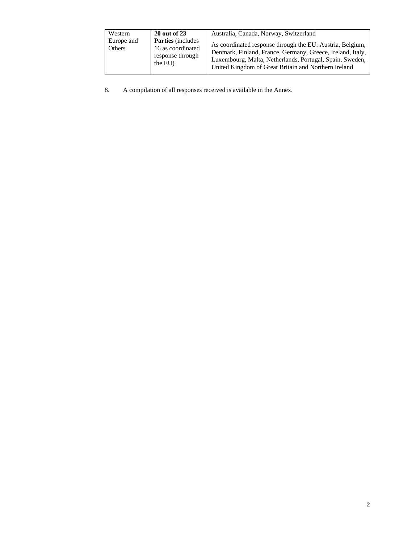| Western<br>Europe and<br>Others | <b>20 out of 23</b><br><b>Parties</b> (includes)<br>16 as coordinated<br>response through<br>the EU) | Australia, Canada, Norway, Switzerland<br>As coordinated response through the EU: Austria, Belgium,<br>Denmark, Finland, France, Germany, Greece, Ireland, Italy,<br>Luxembourg, Malta, Netherlands, Portugal, Spain, Sweden,<br>United Kingdom of Great Britain and Northern Ireland |
|---------------------------------|------------------------------------------------------------------------------------------------------|---------------------------------------------------------------------------------------------------------------------------------------------------------------------------------------------------------------------------------------------------------------------------------------|
|---------------------------------|------------------------------------------------------------------------------------------------------|---------------------------------------------------------------------------------------------------------------------------------------------------------------------------------------------------------------------------------------------------------------------------------------|

8. A compilation of all responses received is available in the Annex.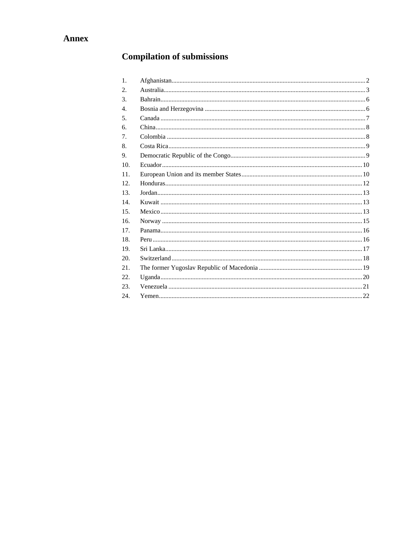# **Compilation of submissions**

| 1.  |  |
|-----|--|
| 2.  |  |
| 3.  |  |
| 4.  |  |
| 5.  |  |
| 6.  |  |
| 7.  |  |
| 8.  |  |
| 9.  |  |
| 10. |  |
| 11. |  |
| 12. |  |
| 13. |  |
| 14. |  |
| 15. |  |
| 16. |  |
| 17. |  |
| 18. |  |
| 19. |  |
| 20. |  |
| 21. |  |
| 22. |  |
| 23. |  |
| 24. |  |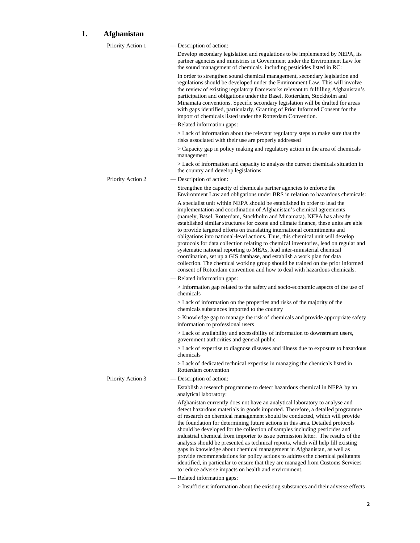# **1. Afghanistan**

| Develop secondary legislation and regulations to be implemented by NEPA, its<br>partner agencies and ministries in Government under the Environment Law for<br>the sound management of chemicals including pesticides listed in RC:<br>In order to strengthen sound chemical management, secondary legislation and<br>regulations should be developed under the Environment Law. This will involve<br>the review of existing regulatory frameworks relevant to fulfilling Afghanistan's<br>participation and obligations under the Basel, Rotterdam, Stockholm and<br>Minamata conventions. Specific secondary legislation will be drafted for areas<br>with gaps identified, particularly, Granting of Prior Informed Consent for the<br>> Lack of information about the relevant regulatory steps to make sure that the<br>> Capacity gap in policy making and regulatory action in the area of chemicals |
|-------------------------------------------------------------------------------------------------------------------------------------------------------------------------------------------------------------------------------------------------------------------------------------------------------------------------------------------------------------------------------------------------------------------------------------------------------------------------------------------------------------------------------------------------------------------------------------------------------------------------------------------------------------------------------------------------------------------------------------------------------------------------------------------------------------------------------------------------------------------------------------------------------------|
|                                                                                                                                                                                                                                                                                                                                                                                                                                                                                                                                                                                                                                                                                                                                                                                                                                                                                                             |
|                                                                                                                                                                                                                                                                                                                                                                                                                                                                                                                                                                                                                                                                                                                                                                                                                                                                                                             |
|                                                                                                                                                                                                                                                                                                                                                                                                                                                                                                                                                                                                                                                                                                                                                                                                                                                                                                             |
|                                                                                                                                                                                                                                                                                                                                                                                                                                                                                                                                                                                                                                                                                                                                                                                                                                                                                                             |
|                                                                                                                                                                                                                                                                                                                                                                                                                                                                                                                                                                                                                                                                                                                                                                                                                                                                                                             |
| > Lack of information and capacity to analyze the current chemicals situation in                                                                                                                                                                                                                                                                                                                                                                                                                                                                                                                                                                                                                                                                                                                                                                                                                            |
|                                                                                                                                                                                                                                                                                                                                                                                                                                                                                                                                                                                                                                                                                                                                                                                                                                                                                                             |
| Environment Law and obligations under BRS in relation to hazardous chemicals:                                                                                                                                                                                                                                                                                                                                                                                                                                                                                                                                                                                                                                                                                                                                                                                                                               |
| A specialist unit within NEPA should be established in order to lead the<br>implementation and coordination of Afghanistan's chemical agreements<br>(namely, Basel, Rotterdam, Stockholm and Minamata). NEPA has already<br>established similar structures for ozone and climate finance, these units are able<br>to provide targeted efforts on translating international commitments and<br>obligations into national-level actions. Thus, this chemical unit will develop<br>protocols for data collection relating to chemical inventories, lead on regular and<br>collection. The chemical working group should be trained on the prior informed<br>consent of Rotterdam convention and how to deal with hazardous chemicals.                                                                                                                                                                          |
|                                                                                                                                                                                                                                                                                                                                                                                                                                                                                                                                                                                                                                                                                                                                                                                                                                                                                                             |
| > Information gap related to the safety and socio-economic aspects of the use of                                                                                                                                                                                                                                                                                                                                                                                                                                                                                                                                                                                                                                                                                                                                                                                                                            |
| $>$ Lack of information on the properties and risks of the majority of the                                                                                                                                                                                                                                                                                                                                                                                                                                                                                                                                                                                                                                                                                                                                                                                                                                  |
| > Knowledge gap to manage the risk of chemicals and provide appropriate safety                                                                                                                                                                                                                                                                                                                                                                                                                                                                                                                                                                                                                                                                                                                                                                                                                              |
| > Lack of availability and accessibility of information to downstream users,                                                                                                                                                                                                                                                                                                                                                                                                                                                                                                                                                                                                                                                                                                                                                                                                                                |
| > Lack of expertise to diagnose diseases and illness due to exposure to hazardous                                                                                                                                                                                                                                                                                                                                                                                                                                                                                                                                                                                                                                                                                                                                                                                                                           |
| > Lack of dedicated technical expertise in managing the chemicals listed in                                                                                                                                                                                                                                                                                                                                                                                                                                                                                                                                                                                                                                                                                                                                                                                                                                 |
|                                                                                                                                                                                                                                                                                                                                                                                                                                                                                                                                                                                                                                                                                                                                                                                                                                                                                                             |
| Establish a research programme to detect hazardous chemical in NEPA by an                                                                                                                                                                                                                                                                                                                                                                                                                                                                                                                                                                                                                                                                                                                                                                                                                                   |
| Afghanistan currently does not have an analytical laboratory to analyse and<br>detect hazardous materials in goods imported. Therefore, a detailed programme<br>of research on chemical management should be conducted, which will provide<br>the foundation for determining future actions in this area. Detailed protocols<br>should be developed for the collection of samples including pesticides and<br>industrial chemical from importer to issue permission letter. The results of the<br>analysis should be presented as technical reports, which will help fill existing<br>gaps in knowledge about chemical management in Afghanistan, as well as<br>provide recommendations for policy actions to address the chemical pollutants<br>identified, in particular to ensure that they are managed from Customs Services                                                                            |
|                                                                                                                                                                                                                                                                                                                                                                                                                                                                                                                                                                                                                                                                                                                                                                                                                                                                                                             |

> Insufficient information about the existing substances and their adverse effects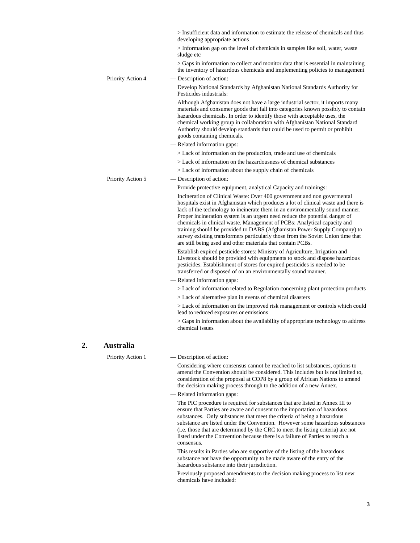|                   | > Insufficient data and information to estimate the release of chemicals and thus<br>developing appropriate actions                                                                                                                                                                                                                                                                                                                                                                                                                                                                                                                       |
|-------------------|-------------------------------------------------------------------------------------------------------------------------------------------------------------------------------------------------------------------------------------------------------------------------------------------------------------------------------------------------------------------------------------------------------------------------------------------------------------------------------------------------------------------------------------------------------------------------------------------------------------------------------------------|
|                   | > Information gap on the level of chemicals in samples like soil, water, waste<br>sludge etc                                                                                                                                                                                                                                                                                                                                                                                                                                                                                                                                              |
|                   | > Gaps in information to collect and monitor data that is essential in maintaining<br>the inventory of hazardous chemicals and implementing policies to management                                                                                                                                                                                                                                                                                                                                                                                                                                                                        |
| Priority Action 4 | — Description of action:                                                                                                                                                                                                                                                                                                                                                                                                                                                                                                                                                                                                                  |
|                   | Develop National Standards by Afghanistan National Standards Authority for<br>Pesticides industrials:                                                                                                                                                                                                                                                                                                                                                                                                                                                                                                                                     |
|                   | Although Afghanistan does not have a large industrial sector, it imports many<br>materials and consumer goods that fall into categories known possibly to contain<br>hazardous chemicals. In order to identify those with acceptable uses, the<br>chemical working group in collaboration with Afghanistan National Standard<br>Authority should develop standards that could be used to permit or prohibit<br>goods containing chemicals.                                                                                                                                                                                                |
|                   | - Related information gaps:                                                                                                                                                                                                                                                                                                                                                                                                                                                                                                                                                                                                               |
|                   | > Lack of information on the production, trade and use of chemicals                                                                                                                                                                                                                                                                                                                                                                                                                                                                                                                                                                       |
|                   | > Lack of information on the hazardousness of chemical substances                                                                                                                                                                                                                                                                                                                                                                                                                                                                                                                                                                         |
|                   | $>$ Lack of information about the supply chain of chemicals                                                                                                                                                                                                                                                                                                                                                                                                                                                                                                                                                                               |
| Priority Action 5 | - Description of action:                                                                                                                                                                                                                                                                                                                                                                                                                                                                                                                                                                                                                  |
|                   | Provide protective equipment, analytical Capacity and trainings:                                                                                                                                                                                                                                                                                                                                                                                                                                                                                                                                                                          |
|                   | Incineration of Clinical Waste: Over 400 government and non governmental<br>hospitals exist in Afghanistan which produces a lot of clinical waste and there is<br>lack of the technology to incinerate them in an environmentally sound manner.<br>Proper incineration system is an urgent need reduce the potential danger of<br>chemicals in clinical waste. Management of PCBs: Analytical capacity and<br>training should be provided to DABS (Afghanistan Power Supply Company) to<br>survey existing transformers particularly those from the Soviet Union time that<br>are still being used and other materials that contain PCBs. |
|                   | Establish expired pesticide stores: Ministry of Agriculture, Irrigation and<br>Livestock should be provided with equipments to stock and dispose hazardous<br>pesticides. Establishment of stores for expired pesticides is needed to be<br>transferred or disposed of on an environmentally sound manner.                                                                                                                                                                                                                                                                                                                                |
|                   | - Related information gaps:                                                                                                                                                                                                                                                                                                                                                                                                                                                                                                                                                                                                               |
|                   | > Lack of information related to Regulation concerning plant protection products                                                                                                                                                                                                                                                                                                                                                                                                                                                                                                                                                          |
|                   | > Lack of alternative plan in events of chemical disasters                                                                                                                                                                                                                                                                                                                                                                                                                                                                                                                                                                                |
|                   | > Lack of information on the improved risk management or controls which could<br>lead to reduced exposures or emissions                                                                                                                                                                                                                                                                                                                                                                                                                                                                                                                   |
|                   | > Gaps in information about the availability of appropriate technology to address<br>chemical issues                                                                                                                                                                                                                                                                                                                                                                                                                                                                                                                                      |
| <b>Australia</b>  |                                                                                                                                                                                                                                                                                                                                                                                                                                                                                                                                                                                                                                           |
| Priority Action 1 | - Description of action:                                                                                                                                                                                                                                                                                                                                                                                                                                                                                                                                                                                                                  |
|                   | Considering where consensus cannot be reached to list substances, options to<br>amend the Convention should be considered. This includes but is not limited to,<br>consideration of the proposal at COP8 by a group of African Nations to amend<br>the decision making process through to the addition of a new Annex.                                                                                                                                                                                                                                                                                                                    |
|                   | - Related information gaps:                                                                                                                                                                                                                                                                                                                                                                                                                                                                                                                                                                                                               |
|                   | The PIC procedure is required for substances that are listed in Annex III to<br>ensure that Parties are aware and consent to the importation of hazardous<br>substances. Only substances that meet the criteria of being a hazardous<br>substance are listed under the Convention. However some hazardous substances<br>(i.e. those that are determined by the CRC to meet the listing criteria) are not<br>listed under the Convention because there is a failure of Parties to reach a<br>consensus.                                                                                                                                    |

**2. Australia** 

This results in Parties who are supportive of the listing of the hazardous substance not have the opportunity to be made aware of the entry of the hazardous substance into their jurisdiction.

Previously proposed amendments to the decision making process to list new chemicals have included: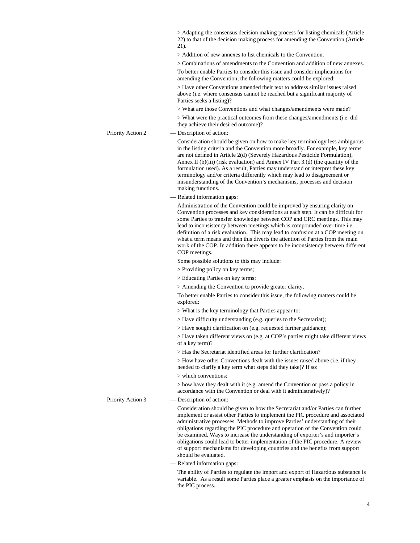|                   | > Adapting the consensus decision making process for listing chemicals (Article<br>22) to that of the decision making process for amending the Convention (Article<br>21).                                                                                                                                                                                                                                                                                                                                                                                                                                    |
|-------------------|---------------------------------------------------------------------------------------------------------------------------------------------------------------------------------------------------------------------------------------------------------------------------------------------------------------------------------------------------------------------------------------------------------------------------------------------------------------------------------------------------------------------------------------------------------------------------------------------------------------|
|                   | > Addition of new annexes to list chemicals to the Convention.                                                                                                                                                                                                                                                                                                                                                                                                                                                                                                                                                |
|                   | > Combinations of amendments to the Convention and addition of new annexes.                                                                                                                                                                                                                                                                                                                                                                                                                                                                                                                                   |
|                   | To better enable Parties to consider this issue and consider implications for<br>amending the Convention, the following matters could be explored:                                                                                                                                                                                                                                                                                                                                                                                                                                                            |
|                   | > Have other Conventions amended their text to address similar issues raised<br>above (i.e. where consensus cannot be reached but a significant majority of<br>Parties seeks a listing)?                                                                                                                                                                                                                                                                                                                                                                                                                      |
|                   | > What are those Conventions and what changes/amendments were made?                                                                                                                                                                                                                                                                                                                                                                                                                                                                                                                                           |
|                   | > What were the practical outcomes from these changes/amendments (i.e. did<br>they achieve their desired outcome)?                                                                                                                                                                                                                                                                                                                                                                                                                                                                                            |
| Priority Action 2 | — Description of action:                                                                                                                                                                                                                                                                                                                                                                                                                                                                                                                                                                                      |
|                   | Consideration should be given on how to make key terminology less ambiguous<br>in the listing criteria and the Convention more broadly. For example, key terms<br>are not defined in Article 2(d) (Severely Hazardous Pesticide Formulation),<br>Annex II (b)(iii) (risk evaluation) and Annex IV Part $3.(d)$ (the quantity of the<br>formulation used). As a result, Parties may understand or interpret these key                                                                                                                                                                                          |
|                   | terminology and/or criteria differently which may lead to disagreement or<br>misunderstanding of the Convention's mechanisms, processes and decision<br>making functions.                                                                                                                                                                                                                                                                                                                                                                                                                                     |
|                   | - Related information gaps:                                                                                                                                                                                                                                                                                                                                                                                                                                                                                                                                                                                   |
|                   | Administration of the Convention could be improved by ensuring clarity on<br>Convention processes and key considerations at each step. It can be difficult for<br>some Parties to transfer knowledge between COP and CRC meetings. This may<br>lead to inconsistency between meetings which is compounded over time i.e.<br>definition of a risk evaluation. This may lead to confusion at a COP meeting on<br>what a term means and then this diverts the attention of Parties from the main<br>work of the COP. In addition there appears to be inconsistency between different                             |
|                   | COP meetings.                                                                                                                                                                                                                                                                                                                                                                                                                                                                                                                                                                                                 |
|                   | Some possible solutions to this may include:<br>> Providing policy on key terms;                                                                                                                                                                                                                                                                                                                                                                                                                                                                                                                              |
|                   | > Educating Parties on key terms;                                                                                                                                                                                                                                                                                                                                                                                                                                                                                                                                                                             |
|                   | > Amending the Convention to provide greater clarity.                                                                                                                                                                                                                                                                                                                                                                                                                                                                                                                                                         |
|                   | To better enable Parties to consider this issue, the following matters could be<br>explored:                                                                                                                                                                                                                                                                                                                                                                                                                                                                                                                  |
|                   | > What is the key terminology that Parties appear to:                                                                                                                                                                                                                                                                                                                                                                                                                                                                                                                                                         |
|                   | > Have difficulty understanding (e.g. queries to the Secretariat);                                                                                                                                                                                                                                                                                                                                                                                                                                                                                                                                            |
|                   | > Have sought clarification on (e.g. requested further guidance);                                                                                                                                                                                                                                                                                                                                                                                                                                                                                                                                             |
|                   | > Have taken different views on (e.g. at COP's parties might take different views<br>of a key term)?                                                                                                                                                                                                                                                                                                                                                                                                                                                                                                          |
|                   | > Has the Secretariat identified areas for further clarification?                                                                                                                                                                                                                                                                                                                                                                                                                                                                                                                                             |
|                   | > How have other Conventions dealt with the issues raised above (i.e. if they<br>needed to clarify a key term what steps did they take)? If so:                                                                                                                                                                                                                                                                                                                                                                                                                                                               |
|                   | > which conventions;                                                                                                                                                                                                                                                                                                                                                                                                                                                                                                                                                                                          |
|                   | $>$ how have they dealt with it (e.g. amend the Convention or pass a policy in<br>accordance with the Convention or deal with it administratively)?                                                                                                                                                                                                                                                                                                                                                                                                                                                           |
| Priority Action 3 | - Description of action:                                                                                                                                                                                                                                                                                                                                                                                                                                                                                                                                                                                      |
|                   | Consideration should be given to how the Secretariat and/or Parties can further<br>implement or assist other Parties to implement the PIC procedure and associated<br>administrative processes. Methods to improve Parties' understanding of their<br>obligations regarding the PIC procedure and operation of the Convention could<br>be examined. Ways to increase the understanding of exporter's and importer's<br>obligations could lead to better implementation of the PIC procedure. A review<br>of support mechanisms for developing countries and the benefits from support<br>should be evaluated. |
|                   | - Related information gaps:                                                                                                                                                                                                                                                                                                                                                                                                                                                                                                                                                                                   |

The ability of Parties to regulate the import and export of Hazardous substance is variable. As a result some Parties place a greater emphasis on the importance of the PIC process.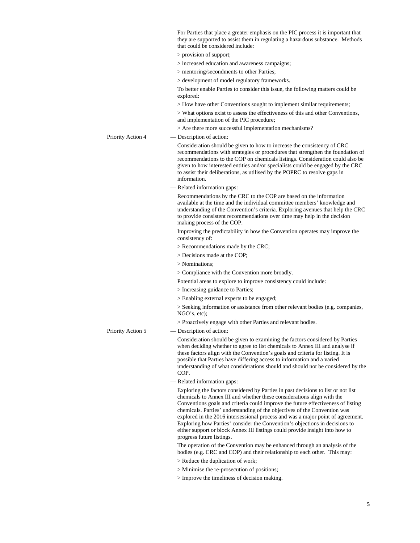For Parties that place a greater emphasis on the PIC process it is important that they are supported to assist them in regulating a hazardous substance. Methods that could be considered include: > provision of support; > increased education and awareness campaigns; > mentoring/secondments to other Parties; > development of model regulatory frameworks. To better enable Parties to consider this issue, the following matters could be explored: > How have other Conventions sought to implement similar requirements; > What options exist to assess the effectiveness of this and other Conventions, and implementation of the PIC procedure; > Are there more successful implementation mechanisms? Priority Action 4 — Description of action: Consideration should be given to how to increase the consistency of CRC recommendations with strategies or procedures that strengthen the foundation of recommendations to the COP on chemicals listings. Consideration could also be given to how interested entities and/or specialists could be engaged by the CRC to assist their deliberations, as utilised by the POPRC to resolve gaps in information. — Related information gaps: Recommendations by the CRC to the COP are based on the information available at the time and the individual committee members' knowledge and understanding of the Convention's criteria. Exploring avenues that help the CRC to provide consistent recommendations over time may help in the decision making process of the COP. Improving the predictability in how the Convention operates may improve the consistency of: > Recommendations made by the CRC; > Decisions made at the COP; > Nominations; > Compliance with the Convention more broadly. Potential areas to explore to improve consistency could include: > Increasing guidance to Parties; > Enabling external experts to be engaged; > Seeking information or assistance from other relevant bodies (e.g. companies, NGO's, etc); > Proactively engage with other Parties and relevant bodies. Priority Action 5 — Description of action: Consideration should be given to examining the factors considered by Parties when deciding whether to agree to list chemicals to Annex III and analyse if these factors align with the Convention's goals and criteria for listing. It is possible that Parties have differing access to information and a varied understanding of what considerations should and should not be considered by the COP. — Related information gaps: Exploring the factors considered by Parties in past decisions to list or not list chemicals to Annex III and whether these considerations align with the Conventions goals and criteria could improve the future effectiveness of listing chemicals. Parties' understanding of the objectives of the Convention was explored in the 2016 intersessional process and was a major point of agreement. Exploring how Parties' consider the Convention's objections in decisions to either support or block Annex III listings could provide insight into how to progress future listings. The operation of the Convention may be enhanced through an analysis of the bodies (e.g. CRC and COP) and their relationship to each other. This may: > Reduce the duplication of work; > Minimise the re-prosecution of positions; > Improve the timeliness of decision making.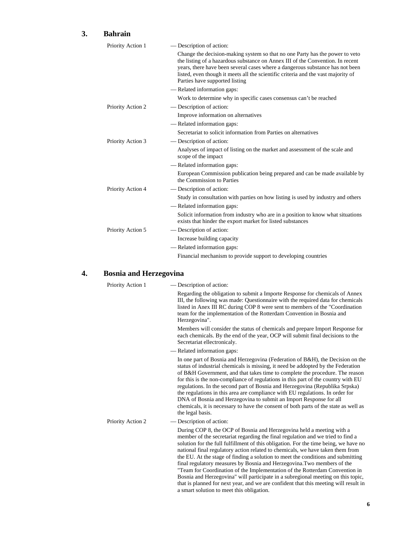#### **3. Bahrain**

| Priority Action 1 | - Description of action:                                                                                                                                                                                                                                                                                                                                               |
|-------------------|------------------------------------------------------------------------------------------------------------------------------------------------------------------------------------------------------------------------------------------------------------------------------------------------------------------------------------------------------------------------|
|                   | Change the decision-making system so that no one Party has the power to veto<br>the listing of a hazardous substance on Annex III of the Convention. In recent<br>years, there have been several cases where a dangerous substance has not been<br>listed, even though it meets all the scientific criteria and the vast majority of<br>Parties have supported listing |
|                   | - Related information gaps:                                                                                                                                                                                                                                                                                                                                            |
|                   | Work to determine why in specific cases consensus can't be reached                                                                                                                                                                                                                                                                                                     |
| Priority Action 2 | — Description of action:                                                                                                                                                                                                                                                                                                                                               |
|                   | Improve information on alternatives                                                                                                                                                                                                                                                                                                                                    |
|                   | — Related information gaps:                                                                                                                                                                                                                                                                                                                                            |
|                   | Secretariat to solicit information from Parties on alternatives                                                                                                                                                                                                                                                                                                        |
| Priority Action 3 | — Description of action:                                                                                                                                                                                                                                                                                                                                               |
|                   | Analyses of impact of listing on the market and assessment of the scale and<br>scope of the impact                                                                                                                                                                                                                                                                     |
|                   | — Related information gaps:                                                                                                                                                                                                                                                                                                                                            |
|                   | European Commission publication being prepared and can be made available by<br>the Commission to Parties                                                                                                                                                                                                                                                               |
| Priority Action 4 | — Description of action:                                                                                                                                                                                                                                                                                                                                               |
|                   | Study in consultation with parties on how listing is used by industry and others                                                                                                                                                                                                                                                                                       |
|                   | — Related information gaps:                                                                                                                                                                                                                                                                                                                                            |
|                   | Solicit information from industry who are in a position to know what situations<br>exists that hinder the export market for listed substances                                                                                                                                                                                                                          |
| Priority Action 5 | — Description of action:                                                                                                                                                                                                                                                                                                                                               |
|                   | Increase building capacity                                                                                                                                                                                                                                                                                                                                             |
|                   | — Related information gaps:                                                                                                                                                                                                                                                                                                                                            |
|                   | Financial mechanism to provide support to developing countries                                                                                                                                                                                                                                                                                                         |

# **4. Bosnia and Herzegovina**

| Priority Action 1 | — Description of action:                                                                                                                                                                                                                                                                                                                                                                                                                                                                                                                                                                                                                                                                                                                                                                                  |
|-------------------|-----------------------------------------------------------------------------------------------------------------------------------------------------------------------------------------------------------------------------------------------------------------------------------------------------------------------------------------------------------------------------------------------------------------------------------------------------------------------------------------------------------------------------------------------------------------------------------------------------------------------------------------------------------------------------------------------------------------------------------------------------------------------------------------------------------|
|                   | Regarding the obligation to submit a Importe Response for chemicals of Annex<br>III, the following was made: Questionnaire with the required data for chemicals<br>listed in Anex III RC during COP 8 were sent to members of the "Coordination"<br>team for the implementation of the Rotterdam Convention in Bosnia and<br>Herzegovina".                                                                                                                                                                                                                                                                                                                                                                                                                                                                |
|                   | Members will consider the status of chemicals and prepare Import Response for<br>each chemicals. By the end of the year, OCP will submit final decisions to the<br>Secretariat ellectronicaly.                                                                                                                                                                                                                                                                                                                                                                                                                                                                                                                                                                                                            |
|                   | — Related information gaps:                                                                                                                                                                                                                                                                                                                                                                                                                                                                                                                                                                                                                                                                                                                                                                               |
|                   | In one part of Bosnia and Herzegovina (Federation of B&H), the Decision on the<br>status of industrial chemicals is missing, it need be addopted by the Federation<br>of B&H Government, and that takes time to complete the procedure. The reason<br>for this is the non-compliance of regulations in this part of the country with EU<br>regulations. In the second part of Bosnia and Herzegovina (Republika Srpska)<br>the regulations in this area are compliance with EU regulations. In order for<br>DNA of Bosnia and Herzegovina to submit an Import Response for all<br>chemicals, it is necessary to have the consent of both parts of the state as well as<br>the legal basis.                                                                                                                |
| Priority Action 2 | — Description of action:                                                                                                                                                                                                                                                                                                                                                                                                                                                                                                                                                                                                                                                                                                                                                                                  |
|                   | During COP 8, the OCP of Bosnia and Herzegovina held a meeting with a<br>member of the secretariat regarding the final regulation and we tried to find a<br>solution for the full fulfillment of this obligation. For the time being, we have no<br>national final regulatory action related to chemicals, we have taken them from<br>the EU. At the stage of finding a solution to meet the conditions and submitting<br>final regulatory measures by Bosnia and Herzegovina. Two members of the<br>"Team for Coordination of the Implementation of the Rotterdam Convention in<br>Bosnia and Herzegovina" will participate in a subregional meeting on this topic,<br>that is planned for next year, and we are confident that this meeting will result in<br>a smart solution to meet this obligation. |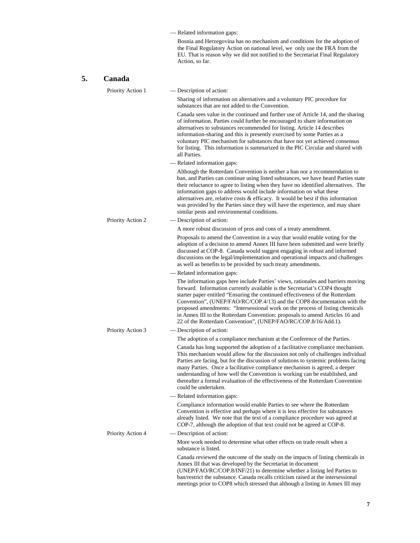— Related information gaps:

Bosnia and Herzegovina has no mechanism and conditions for the adoption of the Final Regulatory Action on national level, we only use the FRA from the EU. That is reason why we did not notified to the Secretariat Final Regulatory Action, so far.

| 5. | Canada            |                                                                                                                                                                                                                                                                                                                                                                                                                                                                                                                                                               |
|----|-------------------|---------------------------------------------------------------------------------------------------------------------------------------------------------------------------------------------------------------------------------------------------------------------------------------------------------------------------------------------------------------------------------------------------------------------------------------------------------------------------------------------------------------------------------------------------------------|
|    | Priority Action 1 | — Description of action:                                                                                                                                                                                                                                                                                                                                                                                                                                                                                                                                      |
|    |                   | Sharing of information on alternatives and a voluntary PIC procedure for<br>substances that are not added to the Convention.                                                                                                                                                                                                                                                                                                                                                                                                                                  |
|    |                   | Canada sees value in the continued and further use of Article 14, and the sharing<br>of information. Parties could further be encouraged to share information on<br>alternatives to substances recommended for listing. Article 14 describes<br>information-sharing and this is presently exercised by some Parties as a<br>voluntary PIC mechanism for substances that have not yet achieved consensus<br>for listing. This information is summarized in the PIC Circular and shared with<br>all Parties.                                                    |
|    |                   | - Related information gaps:                                                                                                                                                                                                                                                                                                                                                                                                                                                                                                                                   |
|    |                   | Although the Rotterdam Convention is neither a ban nor a recommendation to<br>ban, and Parties can continue using listed substances, we have heard Parties state<br>their reluctance to agree to listing when they have no identified alternatives. The<br>information gaps to address would include information on what these<br>alternatives are, relative costs $\&$ efficacy. It would be best if this information<br>was provided by the Parties since they will have the experience, and may share<br>similar pests and environmental conditions.       |
|    | Priority Action 2 | - Description of action:                                                                                                                                                                                                                                                                                                                                                                                                                                                                                                                                      |
|    |                   | A more robust discussion of pros and cons of a treaty amendment.                                                                                                                                                                                                                                                                                                                                                                                                                                                                                              |
|    |                   | Proposals to amend the Convention in a way that would enable voting for the<br>adoption of a decision to amend Annex III have been submitted and were briefly<br>discussed at COP-8. Canada would suggest engaging in robust and informed<br>discussions on the legal/implementation and operational impacts and challenges<br>as well as benefits to be provided by such treaty amendments.                                                                                                                                                                  |
|    |                   | - Related information gaps:                                                                                                                                                                                                                                                                                                                                                                                                                                                                                                                                   |
|    |                   | The information gaps here include Parties' views, rationales and barriers moving<br>forward. Information currently available is the Secretariat's COP4 thought<br>starter paper entitled "Ensuring the continued effectiveness of the Rotterdam<br>Convention", (UNEP/FAO/RC/COP.4/13) and the COP8 documentation with the<br>proposed amendments: "Intersessional work on the process of listing chemicals<br>in Annex III to the Rotterdam Convention: proposals to amend Articles 16 and<br>22 of the Rotterdam Convention", (UNEP/FAO/RC/COP.8/16/Add.1). |
|    | Priority Action 3 | — Description of action:                                                                                                                                                                                                                                                                                                                                                                                                                                                                                                                                      |
|    |                   | The adoption of a compliance mechanism at the Conference of the Parties.                                                                                                                                                                                                                                                                                                                                                                                                                                                                                      |
|    |                   | Canada has long supported the adoption of a facilitative compliance mechanism.<br>This mechanism would allow for the discussion not only of challenges individual<br>Parties are facing, but for the discussion of solutions to systemic problems facing<br>many Parties. Once a facilitative compliance mechanism is agreed, a deeper<br>understanding of how well the Convention is working can be established, and<br>thereafter a formal evaluation of the effectiveness of the Rotterdam Convention<br>could be undertaken.                              |
|    |                   | — Related information gaps:                                                                                                                                                                                                                                                                                                                                                                                                                                                                                                                                   |
|    |                   | Compliance information would enable Parties to see where the Rotterdam<br>Convention is effective and perhaps where it is less effective for substances<br>already listed. We note that the text of a compliance procedure was agreed at<br>COP-7, although the adoption of that text could not be agreed at COP-8.                                                                                                                                                                                                                                           |
|    | Priority Action 4 | - Description of action:                                                                                                                                                                                                                                                                                                                                                                                                                                                                                                                                      |
|    |                   | More work needed to determine what other effects on trade result when a<br>substance is listed.                                                                                                                                                                                                                                                                                                                                                                                                                                                               |
|    |                   | Canada reviewed the outcome of the study on the impacts of listing chemicals in<br>Annex III that was developed by the Secretariat in document<br>(UNEP/FAO/RC/COP.8/INF/21) to determine whether a listing led Parties to<br>ban/restrict the substance. Canada recalls criticism raised at the intersessional<br>meetings prior to COP8 which stressed that although a listing in Annex III may                                                                                                                                                             |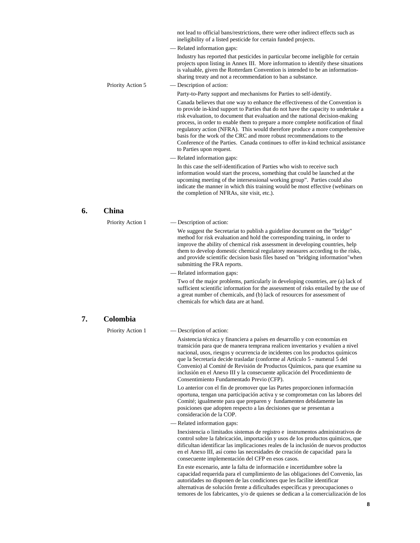|    |                   | not lead to official bans/restrictions, there were other indirect effects such as<br>ineligibility of a listed pesticide for certain funded projects.                                                                                                                                                                                                                                                                                                                                                                                                                                                              |
|----|-------------------|--------------------------------------------------------------------------------------------------------------------------------------------------------------------------------------------------------------------------------------------------------------------------------------------------------------------------------------------------------------------------------------------------------------------------------------------------------------------------------------------------------------------------------------------------------------------------------------------------------------------|
|    |                   | - Related information gaps:                                                                                                                                                                                                                                                                                                                                                                                                                                                                                                                                                                                        |
|    |                   | Industry has reported that pesticides in particular become ineligible for certain<br>projects upon listing in Annex III. More information to identify these situations<br>is valuable, given the Rotterdam Convention is intended to be an information-<br>sharing treaty and not a recommendation to ban a substance.                                                                                                                                                                                                                                                                                             |
|    | Priority Action 5 | — Description of action:                                                                                                                                                                                                                                                                                                                                                                                                                                                                                                                                                                                           |
|    |                   | Party-to-Party support and mechanisms for Parties to self-identify.                                                                                                                                                                                                                                                                                                                                                                                                                                                                                                                                                |
|    |                   | Canada believes that one way to enhance the effectiveness of the Convention is<br>to provide in-kind support to Parties that do not have the capacity to undertake a<br>risk evaluation, to document that evaluation and the national decision-making<br>process, in order to enable them to prepare a more complete notification of final<br>regulatory action (NFRA). This would therefore produce a more comprehensive<br>basis for the work of the CRC and more robust recommendations to the<br>Conference of the Parties. Canada continues to offer in-kind technical assistance<br>to Parties upon request. |
|    |                   | - Related information gaps:                                                                                                                                                                                                                                                                                                                                                                                                                                                                                                                                                                                        |
|    |                   | In this case the self-identification of Parties who wish to receive such<br>information would start the process, something that could be launched at the<br>upcoming meeting of the intersessional working group". Parties could also<br>indicate the manner in which this training would be most effective (webinars on<br>the completion of NFRAs, site visit, etc.).                                                                                                                                                                                                                                            |
| 6. | <b>China</b>      |                                                                                                                                                                                                                                                                                                                                                                                                                                                                                                                                                                                                                    |
|    | Priority Action 1 | - Description of action:                                                                                                                                                                                                                                                                                                                                                                                                                                                                                                                                                                                           |
|    |                   | We suggest the Secretariat to publish a guideline document on the "bridge"<br>method for risk evaluation and hold the corresponding training, in order to<br>improve the ability of chemical risk assessment in developing countries, help<br>them to develop domestic chemical regulatory measures according to the risks,<br>and provide scientific decision basis files based on "bridging information" when<br>submitting the FRA reports.                                                                                                                                                                     |
|    |                   | - Related information gaps:                                                                                                                                                                                                                                                                                                                                                                                                                                                                                                                                                                                        |
|    |                   | Two of the major problems, particularly in developing countries, are (a) lack of<br>sufficient scientific information for the assessment of risks entailed by the use of<br>a great number of chemicals, and (b) lack of resources for assessment of<br>chemicals for which data are at hand.                                                                                                                                                                                                                                                                                                                      |
| 7. | Colombia          |                                                                                                                                                                                                                                                                                                                                                                                                                                                                                                                                                                                                                    |
|    | Priority Action 1 | - Description of action:                                                                                                                                                                                                                                                                                                                                                                                                                                                                                                                                                                                           |
|    |                   | Asistencia técnica y financiera a países en desarrollo y con economías en<br>transición para que de manera temprana realicen inventarios y evalúen a nivel<br>nacional, usos, riesgos y ocurrencia de incidentes con los productos químicos<br>que la Secretaría decide trasladar (conforme al Artículo 5 - numeral 5 del<br>Convenio) al Comité de Revisión de Productos Químicos, para que examine su<br>inclusión en el Anexo III y la consecuente aplicación del Procedimiento de<br>Consentimiento Fundamentado Previo (CFP).                                                                                 |
|    |                   | Lo anterior con el fin de promover que las Partes proporcionen información<br>oportuna, tengan una participación activa y se comprometan con las labores del<br>Comité; igualmente para que preparen y fundamenten debidamente las<br>posiciones que adopten respecto a las decisiones que se presentan a<br>consideración de la COP.                                                                                                                                                                                                                                                                              |
|    |                   | - Related information gaps:                                                                                                                                                                                                                                                                                                                                                                                                                                                                                                                                                                                        |
|    |                   | Inexistencia o limitados sistemas de registro e instrumentos administrativos de<br>control sobre la fabricación, importación y usos de los productos químicos, que<br>dificultan identificar las implicaciones reales de la inclusión de nuevos productos<br>en el Anexo III, así como las necesidades de creación de capacidad para la<br>consecuente implementación del CFP en esos casos.                                                                                                                                                                                                                       |
|    |                   | En este escenario, ante la falta de información e incertidumbre sobre la<br>capacidad requerida para el cumplimiento de las obligaciones del Convenio, las<br>autoridades no disponen de las condiciones que les facilite identificar<br>alternativas de solución frente a dificultades específicas y preocupaciones o                                                                                                                                                                                                                                                                                             |

temores de los fabricantes, y/o de quienes se dedican a la comercialización de los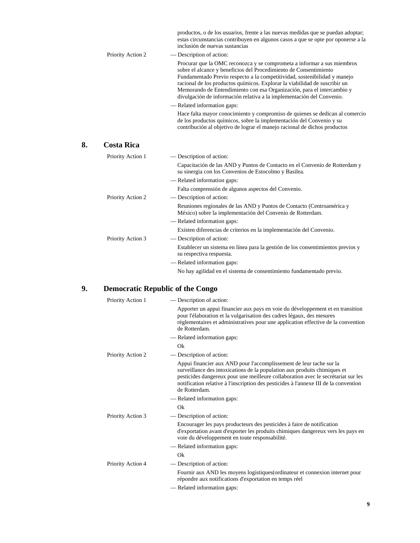|    |                   | productos, o de los usuarios, frente a las nuevas medidas que se puedan adoptar;<br>estas circunstancias contribuyen en algunos casos a que se opte por oponerse a la<br>inclusión de nuevas sustancias                                                                                                                                                                                                                                                    |
|----|-------------------|------------------------------------------------------------------------------------------------------------------------------------------------------------------------------------------------------------------------------------------------------------------------------------------------------------------------------------------------------------------------------------------------------------------------------------------------------------|
|    | Priority Action 2 | - Description of action:                                                                                                                                                                                                                                                                                                                                                                                                                                   |
|    |                   | Procurar que la OMC reconozca y se comprometa a informar a sus miembros<br>sobre el alcance y beneficios del Procedimiento de Consentimiento<br>Fundamentado Previo respecto a la competitividad, sostenibilidad y manejo<br>racional de los productos químicos. Explorar la viabilidad de suscribir un<br>Memorando de Entendimiento con esa Organización, para el intercambio y<br>divulgación de información relativa a la implementación del Convenio. |
|    |                   | - Related information gaps:                                                                                                                                                                                                                                                                                                                                                                                                                                |
|    |                   | Hace falta mayor conocimiento y compromiso de quienes se dedican al comercio<br>de los productos químicos, sobre la implementación del Convenio y su<br>contribución al objetivo de lograr el manejo racional de dichos productos                                                                                                                                                                                                                          |
| 8. | <b>Costa Rica</b> |                                                                                                                                                                                                                                                                                                                                                                                                                                                            |
|    | Priority Action 1 | - Description of action:                                                                                                                                                                                                                                                                                                                                                                                                                                   |
|    |                   | Capacitación de las AND y Puntos de Contacto en el Convenio de Rotterdam y<br>su sinergia con los Convenios de Estocolmo y Basilea.                                                                                                                                                                                                                                                                                                                        |
|    |                   | - Related information gaps:                                                                                                                                                                                                                                                                                                                                                                                                                                |
|    |                   | Falta comprensión de algunos aspectos del Convenio.                                                                                                                                                                                                                                                                                                                                                                                                        |
|    | Priority Action 2 | — Description of action:                                                                                                                                                                                                                                                                                                                                                                                                                                   |
|    |                   | Reuniones regionales de las AND y Puntos de Contacto (Centroamérica y<br>México) sobre la implementación del Convenio de Rotterdam.                                                                                                                                                                                                                                                                                                                        |
|    |                   | - Related information gaps:                                                                                                                                                                                                                                                                                                                                                                                                                                |
|    |                   | Existen diferencias de criterios en la implementación del Convenio.                                                                                                                                                                                                                                                                                                                                                                                        |
|    | Priority Action 3 | - Description of action:                                                                                                                                                                                                                                                                                                                                                                                                                                   |
|    |                   | Establecer un sistema en línea para la gestión de los consentimientos previos y<br>su respectiva respuesta.                                                                                                                                                                                                                                                                                                                                                |
|    |                   | - Related information gaps:                                                                                                                                                                                                                                                                                                                                                                                                                                |
|    |                   | No hay agilidad en el sistema de consentimiento fundamentado previo.                                                                                                                                                                                                                                                                                                                                                                                       |
| 9. |                   | <b>Democratic Republic of the Congo</b>                                                                                                                                                                                                                                                                                                                                                                                                                    |
|    | Priority Action 1 | — Description of action:                                                                                                                                                                                                                                                                                                                                                                                                                                   |
|    |                   | Apporter un appui financier aux pays en voie du développement et en transition                                                                                                                                                                                                                                                                                                                                                                             |

**8. Costa Rica** 

| <b>FHUILLY ACHOIL 1</b> | $-$ Description of action.                                                                                                                                                                                                                                                                                                                     |
|-------------------------|------------------------------------------------------------------------------------------------------------------------------------------------------------------------------------------------------------------------------------------------------------------------------------------------------------------------------------------------|
|                         | Apporter un appui financier aux pays en voie du développement et en transition<br>pour l'élaboration et la vulgarisation des cadres légaux, des mesures<br>règlementaires et administratives pour une application effective de la convention<br>de Rotterdam.                                                                                  |
|                         | - Related information gaps:                                                                                                                                                                                                                                                                                                                    |
|                         | Ok                                                                                                                                                                                                                                                                                                                                             |
| Priority Action 2       | — Description of action:                                                                                                                                                                                                                                                                                                                       |
|                         | Appui financier aux AND pour l'accomplissement de leur tache sur la<br>surveillance des intoxications de la population aux produits chimiques et<br>pesticides dangereux pour une meilleure collaboration avec le secrétariat sur les<br>notification relative à l'inscription des pesticides à l'annexe III de la convention<br>de Rotterdam. |
|                         | - Related information gaps:                                                                                                                                                                                                                                                                                                                    |
|                         | Ok                                                                                                                                                                                                                                                                                                                                             |
| Priority Action 3       | — Description of action:                                                                                                                                                                                                                                                                                                                       |
|                         | Encourager les pays producteurs des pesticides à faire de notification<br>d'exportation avant d'exporter les produits chimiques dangereux vers les pays en<br>voie du développement en toute responsabilité.                                                                                                                                   |
|                         | - Related information gaps:                                                                                                                                                                                                                                                                                                                    |
|                         | Ok                                                                                                                                                                                                                                                                                                                                             |
| Priority Action 4       | - Description of action:                                                                                                                                                                                                                                                                                                                       |
|                         | Fournir aux AND les moyens logistiques (ordinateur et connexion internet pour<br>répondre aux notifications d'exportation en temps réel                                                                                                                                                                                                        |
|                         | — Related information gaps:                                                                                                                                                                                                                                                                                                                    |
|                         |                                                                                                                                                                                                                                                                                                                                                |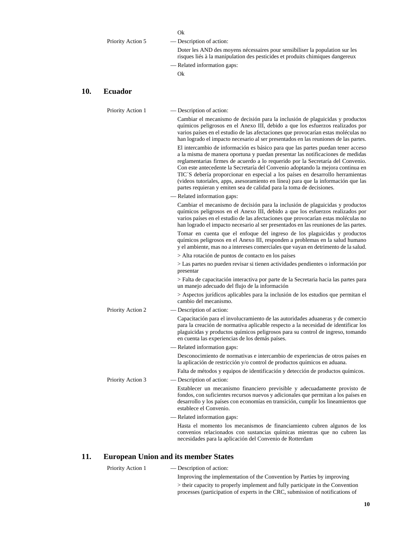|                   | Ok                                                                                                                                                            |
|-------------------|---------------------------------------------------------------------------------------------------------------------------------------------------------------|
| Priority Action 5 | — Description of action:                                                                                                                                      |
|                   | Doter les AND des moyens nécessaires pour sensibiliser la population sur les<br>risques liés à la manipulation des pesticides et produits chimiques dangereux |
|                   | — Related information gaps:                                                                                                                                   |
|                   | Ok                                                                                                                                                            |

#### **10. Ecuador**

| Priority Action 1 | — Description of action:                                                                                                                                                                                                                                                                                                                                                                                                                                                                                                                                                               |
|-------------------|----------------------------------------------------------------------------------------------------------------------------------------------------------------------------------------------------------------------------------------------------------------------------------------------------------------------------------------------------------------------------------------------------------------------------------------------------------------------------------------------------------------------------------------------------------------------------------------|
|                   | Cambiar el mecanismo de decisión para la inclusión de plaguicidas y productos<br>químicos peligrosos en el Anexo III, debido a que los esfuerzos realizados por<br>varios países en el estudio de las afectaciones que provocarían estas moléculas no<br>han logrado el impacto necesario al ser presentados en las reuniones de las partes.                                                                                                                                                                                                                                           |
|                   | El intercambio de información es básico para que las partes puedan tener acceso<br>a la misma de manera oportuna y puedan presentar las notificaciones de medidas<br>reglamentarias firmes de acuerdo a lo requerido por la Secretaría del Convenio.<br>Con este antecedente la Secretaría del Convenio adoptando la mejora continua en<br>TIC'S debería proporcionar en especial a los países en desarrollo herramientas<br>(videos tutoriales, apps, asesoramiento en línea) para que la información que las<br>partes requieran y emiten sea de calidad para la toma de decisiones. |
|                   | - Related information gaps:                                                                                                                                                                                                                                                                                                                                                                                                                                                                                                                                                            |
|                   | Cambiar el mecanismo de decisión para la inclusión de plaguicidas y productos<br>químicos peligrosos en el Anexo III, debido a que los esfuerzos realizados por<br>varios países en el estudio de las afectaciones que provocarían estas moléculas no<br>han logrado el impacto necesario al ser presentados en las reuniones de las partes.                                                                                                                                                                                                                                           |
|                   | Tomar en cuenta que el enfoque del ingreso de los plaguicidas y productos<br>químicos peligrosos en el Anexo III, responden a problemas en la salud humano<br>y el ambiente, mas no a intereses comerciales que vayan en detrimento de la salud.                                                                                                                                                                                                                                                                                                                                       |
|                   | > Alta rotación de puntos de contacto en los países                                                                                                                                                                                                                                                                                                                                                                                                                                                                                                                                    |
|                   | > Las partes no pueden revisar si tienen actividades pendientes o información por<br>presentar                                                                                                                                                                                                                                                                                                                                                                                                                                                                                         |
|                   | > Falta de capacitación interactiva por parte de la Secretaria hacia las partes para<br>un manejo adecuado del flujo de la información                                                                                                                                                                                                                                                                                                                                                                                                                                                 |
|                   | > Aspectos jurídicos aplicables para la inclusión de los estudios que permitan el<br>cambio del mecanismo.                                                                                                                                                                                                                                                                                                                                                                                                                                                                             |
| Priority Action 2 | — Description of action:                                                                                                                                                                                                                                                                                                                                                                                                                                                                                                                                                               |
|                   | Capacitación para el involucramiento de las autoridades aduaneras y de comercio<br>para la creación de normativa aplicable respecto a la necesidad de identificar los<br>plaguicidas y productos químicos peligrosos para su control de ingreso, tomando<br>en cuenta las experiencias de los demás países.                                                                                                                                                                                                                                                                            |
|                   | - Related information gaps:                                                                                                                                                                                                                                                                                                                                                                                                                                                                                                                                                            |
|                   | Desconocimiento de normativas e intercambio de experiencias de otros países en<br>la aplicación de restricción y/o control de productos químicos en aduana.                                                                                                                                                                                                                                                                                                                                                                                                                            |
|                   | Falta de métodos y equipos de identificación y detección de productos químicos.                                                                                                                                                                                                                                                                                                                                                                                                                                                                                                        |
| Priority Action 3 | — Description of action:                                                                                                                                                                                                                                                                                                                                                                                                                                                                                                                                                               |
|                   | Establecer un mecanismo financiero previsible y adecuadamente provisto de<br>fondos, con suficientes recursos nuevos y adicionales que permitan a los países en<br>desarrollo y los países con economías en transición, cumplir los lineamientos que<br>establece el Convenio.                                                                                                                                                                                                                                                                                                         |
|                   | - Related information gaps:                                                                                                                                                                                                                                                                                                                                                                                                                                                                                                                                                            |
|                   | Hasta el momento los mecanismos de financiamiento cubren algunos de los<br>convenios relacionados con sustancias químicas mientras que no cubren las<br>necesidades para la aplicación del Convenio de Rotterdam                                                                                                                                                                                                                                                                                                                                                                       |

# **11. European Union and its member States**

| Priority Action 1 | — Description of action:                                                       |
|-------------------|--------------------------------------------------------------------------------|
|                   | Improving the implementation of the Convention by Parties by improving         |
|                   | > their capacity to properly implement and fully participate in the Convention |
|                   | processes (participation of experts in the CRC, submission of notifications of |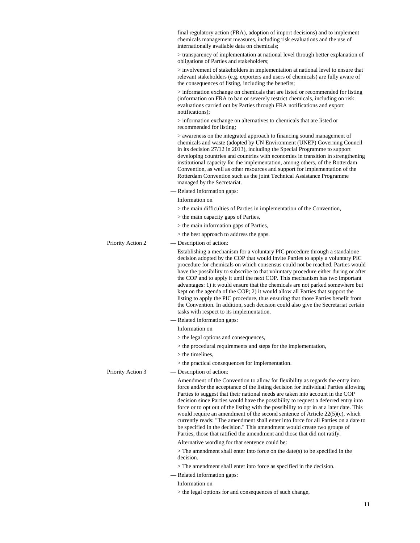|                   | final regulatory action (FRA), adoption of import decisions) and to implement<br>chemicals management measures, including risk evaluations and the use of<br>internationally available data on chemicals;                                                                                                                                                                                                                                                                                                                                                                                                                                                                                                                                                                                                          |
|-------------------|--------------------------------------------------------------------------------------------------------------------------------------------------------------------------------------------------------------------------------------------------------------------------------------------------------------------------------------------------------------------------------------------------------------------------------------------------------------------------------------------------------------------------------------------------------------------------------------------------------------------------------------------------------------------------------------------------------------------------------------------------------------------------------------------------------------------|
|                   | > transparency of implementation at national level through better explanation of<br>obligations of Parties and stakeholders;                                                                                                                                                                                                                                                                                                                                                                                                                                                                                                                                                                                                                                                                                       |
|                   | > involvement of stakeholders in implementation at national level to ensure that<br>relevant stakeholders (e.g. exporters and users of chemicals) are fully aware of<br>the consequences of listing, including the benefits;                                                                                                                                                                                                                                                                                                                                                                                                                                                                                                                                                                                       |
|                   | > information exchange on chemicals that are listed or recommended for listing<br>(information on FRA to ban or severely restrict chemicals, including on risk<br>evaluations carried out by Parties through FRA notifications and export<br>notifications);                                                                                                                                                                                                                                                                                                                                                                                                                                                                                                                                                       |
|                   | $>$ information exchange on alternatives to chemicals that are listed or<br>recommended for listing;                                                                                                                                                                                                                                                                                                                                                                                                                                                                                                                                                                                                                                                                                                               |
|                   | > awareness on the integrated approach to financing sound management of<br>chemicals and waste (adopted by UN Environment (UNEP) Governing Council<br>in its decision 27/12 in 2013), including the Special Programme to support<br>developing countries and countries with economies in transition in strengthening<br>institutional capacity for the implementation, among others, of the Rotterdam<br>Convention, as well as other resources and support for implementation of the<br>Rotterdam Convention such as the joint Technical Assistance Programme<br>managed by the Secretariat.                                                                                                                                                                                                                      |
|                   | - Related information gaps:                                                                                                                                                                                                                                                                                                                                                                                                                                                                                                                                                                                                                                                                                                                                                                                        |
|                   | Information on                                                                                                                                                                                                                                                                                                                                                                                                                                                                                                                                                                                                                                                                                                                                                                                                     |
|                   | > the main difficulties of Parties in implementation of the Convention,                                                                                                                                                                                                                                                                                                                                                                                                                                                                                                                                                                                                                                                                                                                                            |
|                   | $>$ the main capacity gaps of Parties,                                                                                                                                                                                                                                                                                                                                                                                                                                                                                                                                                                                                                                                                                                                                                                             |
|                   | $>$ the main information gaps of Parties,                                                                                                                                                                                                                                                                                                                                                                                                                                                                                                                                                                                                                                                                                                                                                                          |
|                   | > the best approach to address the gaps.                                                                                                                                                                                                                                                                                                                                                                                                                                                                                                                                                                                                                                                                                                                                                                           |
| Priority Action 2 | — Description of action:                                                                                                                                                                                                                                                                                                                                                                                                                                                                                                                                                                                                                                                                                                                                                                                           |
|                   | Establishing a mechanism for a voluntary PIC procedure through a standalone<br>decision adopted by the COP that would invite Parties to apply a voluntary PIC<br>procedure for chemicals on which consensus could not be reached. Parties would<br>have the possibility to subscribe to that voluntary procedure either during or after<br>the COP and to apply it until the next COP. This mechanism has two important<br>advantages: 1) it would ensure that the chemicals are not parked somewhere but<br>kept on the agenda of the COP; 2) it would allow all Parties that support the<br>listing to apply the PIC procedure, thus ensuring that those Parties benefit from<br>the Convention. In addition, such decision could also give the Secretariat certain<br>tasks with respect to its implementation. |
|                   | - Related information gaps:                                                                                                                                                                                                                                                                                                                                                                                                                                                                                                                                                                                                                                                                                                                                                                                        |
|                   | Information on                                                                                                                                                                                                                                                                                                                                                                                                                                                                                                                                                                                                                                                                                                                                                                                                     |
|                   | $>$ the legal options and consequences,                                                                                                                                                                                                                                                                                                                                                                                                                                                                                                                                                                                                                                                                                                                                                                            |
|                   | > the procedural requirements and steps for the implementation,                                                                                                                                                                                                                                                                                                                                                                                                                                                                                                                                                                                                                                                                                                                                                    |
|                   | $>$ the timelines,                                                                                                                                                                                                                                                                                                                                                                                                                                                                                                                                                                                                                                                                                                                                                                                                 |
|                   | > the practical consequences for implementation.                                                                                                                                                                                                                                                                                                                                                                                                                                                                                                                                                                                                                                                                                                                                                                   |
| Priority Action 3 | - Description of action:                                                                                                                                                                                                                                                                                                                                                                                                                                                                                                                                                                                                                                                                                                                                                                                           |
|                   | Amendment of the Convention to allow for flexibility as regards the entry into<br>force and/or the acceptance of the listing decision for individual Parties allowing<br>Parties to suggest that their national needs are taken into account in the COP<br>decision since Parties would have the possibility to request a deferred entry into<br>force or to opt out of the listing with the possibility to opt in at a later date. This<br>would require an amendment of the second sentence of Article $22(5)(c)$ , which<br>currently reads: "The amendment shall enter into force for all Parties on a date to<br>be specified in the decision." This amendment would create two groups of<br>Parties, those that ratified the amendment and those that did not ratify.                                        |
|                   | Alternative wording for that sentence could be:                                                                                                                                                                                                                                                                                                                                                                                                                                                                                                                                                                                                                                                                                                                                                                    |
|                   | $>$ The amendment shall enter into force on the date(s) to be specified in the<br>decision.                                                                                                                                                                                                                                                                                                                                                                                                                                                                                                                                                                                                                                                                                                                        |
|                   | > The amendment shall enter into force as specified in the decision.                                                                                                                                                                                                                                                                                                                                                                                                                                                                                                                                                                                                                                                                                                                                               |
|                   | - Related information gaps:                                                                                                                                                                                                                                                                                                                                                                                                                                                                                                                                                                                                                                                                                                                                                                                        |
|                   | Information on                                                                                                                                                                                                                                                                                                                                                                                                                                                                                                                                                                                                                                                                                                                                                                                                     |
|                   | > the legal options for and consequences of such change,                                                                                                                                                                                                                                                                                                                                                                                                                                                                                                                                                                                                                                                                                                                                                           |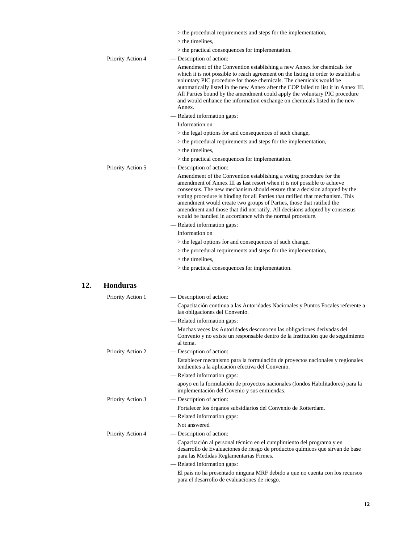|                   | > the procedural requirements and steps for the implementation,                                                                                                                                                                                                                                                                                                                                                                                                                                                                |
|-------------------|--------------------------------------------------------------------------------------------------------------------------------------------------------------------------------------------------------------------------------------------------------------------------------------------------------------------------------------------------------------------------------------------------------------------------------------------------------------------------------------------------------------------------------|
|                   | $>$ the timelines,                                                                                                                                                                                                                                                                                                                                                                                                                                                                                                             |
|                   | > the practical consequences for implementation.                                                                                                                                                                                                                                                                                                                                                                                                                                                                               |
| Priority Action 4 | - Description of action:                                                                                                                                                                                                                                                                                                                                                                                                                                                                                                       |
|                   | Amendment of the Convention establishing a new Annex for chemicals for<br>which it is not possible to reach agreement on the listing in order to establish a<br>voluntary PIC procedure for those chemicals. The chemicals would be<br>automatically listed in the new Annex after the COP failed to list it in Annex III.<br>All Parties bound by the amendment could apply the voluntary PIC procedure<br>and would enhance the information exchange on chemicals listed in the new<br>Annex.<br>- Related information gaps: |
|                   | Information on                                                                                                                                                                                                                                                                                                                                                                                                                                                                                                                 |
|                   | > the legal options for and consequences of such change,                                                                                                                                                                                                                                                                                                                                                                                                                                                                       |
|                   | > the procedural requirements and steps for the implementation,                                                                                                                                                                                                                                                                                                                                                                                                                                                                |
|                   | $>$ the timelines.                                                                                                                                                                                                                                                                                                                                                                                                                                                                                                             |
|                   | > the practical consequences for implementation.                                                                                                                                                                                                                                                                                                                                                                                                                                                                               |
| Priority Action 5 | — Description of action:                                                                                                                                                                                                                                                                                                                                                                                                                                                                                                       |
|                   | Amendment of the Convention establishing a voting procedure for the                                                                                                                                                                                                                                                                                                                                                                                                                                                            |
|                   | amendment of Annex III as last resort when it is not possible to achieve<br>consensus. The new mechanism should ensure that a decision adopted by the<br>voting procedure is binding for all Parties that ratified that mechanism. This<br>amendment would create two groups of Parties, those that ratified the<br>amendment and those that did not ratify. All decisions adopted by consensus<br>would be handled in accordance with the normal procedure.                                                                   |
|                   | - Related information gaps:                                                                                                                                                                                                                                                                                                                                                                                                                                                                                                    |
|                   | Information on                                                                                                                                                                                                                                                                                                                                                                                                                                                                                                                 |
|                   | > the legal options for and consequences of such change,                                                                                                                                                                                                                                                                                                                                                                                                                                                                       |
|                   | > the procedural requirements and steps for the implementation,                                                                                                                                                                                                                                                                                                                                                                                                                                                                |
|                   | $>$ the timelines.                                                                                                                                                                                                                                                                                                                                                                                                                                                                                                             |
|                   | > the practical consequences for implementation.                                                                                                                                                                                                                                                                                                                                                                                                                                                                               |
| <b>Honduras</b>   |                                                                                                                                                                                                                                                                                                                                                                                                                                                                                                                                |
| Priority Action 1 | — Description of action:                                                                                                                                                                                                                                                                                                                                                                                                                                                                                                       |
|                   | Capacitación continua a las Autoridades Nacionales y Puntos Focales referente a<br>las obligaciones del Convenio.                                                                                                                                                                                                                                                                                                                                                                                                              |
|                   | - Related information gaps:                                                                                                                                                                                                                                                                                                                                                                                                                                                                                                    |
|                   | Muchas veces las Autoridades desconocen las obligaciones derivadas del<br>Convenio y no existe un responsable dentro de la Institución que de seguimiento<br>al tema.                                                                                                                                                                                                                                                                                                                                                          |
| Priority Action 2 | - Description of action:                                                                                                                                                                                                                                                                                                                                                                                                                                                                                                       |
|                   | Establecer mecanismo para la formulación de proyectos nacionales y regionales<br>tendientes a la aplicación efectiva del Convenio.                                                                                                                                                                                                                                                                                                                                                                                             |
|                   | - Related information gaps:                                                                                                                                                                                                                                                                                                                                                                                                                                                                                                    |
|                   | apoyo en la formulación de proyectos nacionales (fondos Habilitadores) para la<br>implementación del Covenio y sus enmiendas.                                                                                                                                                                                                                                                                                                                                                                                                  |
| Priority Action 3 | - Description of action:                                                                                                                                                                                                                                                                                                                                                                                                                                                                                                       |
|                   | Fortalecer los órganos subsidiarios del Convenio de Rotterdam.                                                                                                                                                                                                                                                                                                                                                                                                                                                                 |
|                   | - Related information gaps:                                                                                                                                                                                                                                                                                                                                                                                                                                                                                                    |
|                   | Not answered                                                                                                                                                                                                                                                                                                                                                                                                                                                                                                                   |
| Priority Action 4 | — Description of action:                                                                                                                                                                                                                                                                                                                                                                                                                                                                                                       |
|                   | Capacitación al personal técnico en el cumplimiento del programa y en<br>desarrollo de Evaluaciones de riesgo de productos químicos que sirvan de base<br>para las Medidas Reglamentarias Firmes.                                                                                                                                                                                                                                                                                                                              |
|                   | - Related information gaps:                                                                                                                                                                                                                                                                                                                                                                                                                                                                                                    |
|                   | El pais no ha presentado ninguna MRF debido a que no cuenta con los recursos<br>para el desarrollo de evaluaciones de riesgo.                                                                                                                                                                                                                                                                                                                                                                                                  |

**12.**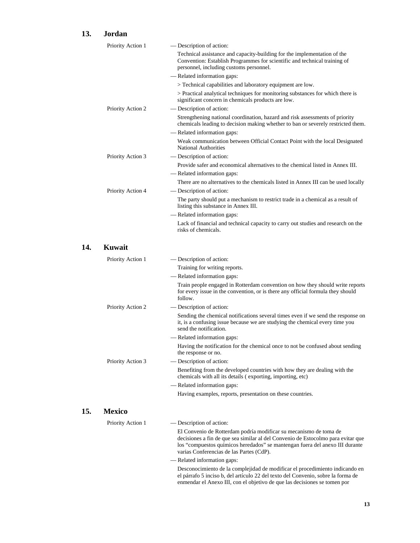### **13. Jordan**

|     | Priority Action 1 | — Description of action:                                                                                                                                                                                                                                                          |
|-----|-------------------|-----------------------------------------------------------------------------------------------------------------------------------------------------------------------------------------------------------------------------------------------------------------------------------|
|     |                   | Technical assistance and capacity-building for the implementation of the<br>Convention: Establish Programmes for scientific and technical training of<br>personnel, including customs personnel.                                                                                  |
|     |                   | - Related information gaps:                                                                                                                                                                                                                                                       |
|     |                   | > Technical capabilities and laboratory equipment are low.                                                                                                                                                                                                                        |
|     |                   | > Practical analytical techniques for monitoring substances for which there is<br>significant concern in chemicals products are low.                                                                                                                                              |
|     | Priority Action 2 | - Description of action:                                                                                                                                                                                                                                                          |
|     |                   | Strengthening national coordination, hazard and risk assessments of priority<br>chemicals leading to decision making whether to ban or severely restricted them.                                                                                                                  |
|     |                   | — Related information gaps:                                                                                                                                                                                                                                                       |
|     |                   | Weak communication between Official Contact Point with the local Designated<br><b>National Authorities</b>                                                                                                                                                                        |
|     | Priority Action 3 | — Description of action:                                                                                                                                                                                                                                                          |
|     |                   | Provide safer and economical alternatives to the chemical listed in Annex III.                                                                                                                                                                                                    |
|     |                   | - Related information gaps:                                                                                                                                                                                                                                                       |
|     |                   | There are no alternatives to the chemicals listed in Annex III can be used locally                                                                                                                                                                                                |
|     | Priority Action 4 | — Description of action:                                                                                                                                                                                                                                                          |
|     |                   | The party should put a mechanism to restrict trade in a chemical as a result of<br>listing this substance in Annex III.                                                                                                                                                           |
|     |                   | - Related information gaps:                                                                                                                                                                                                                                                       |
|     |                   | Lack of financial and technical capacity to carry out studies and research on the<br>risks of chemicals.                                                                                                                                                                          |
| 14. | Kuwait            |                                                                                                                                                                                                                                                                                   |
|     | Priority Action 1 | — Description of action:                                                                                                                                                                                                                                                          |
|     |                   | Training for writing reports.                                                                                                                                                                                                                                                     |
|     |                   | - Related information gaps:                                                                                                                                                                                                                                                       |
|     |                   | Train people engaged in Rotterdam convention on how they should write reports<br>for every issue in the convention, or is there any official formula they should<br>follow.                                                                                                       |
|     | Priority Action 2 | - Description of action:                                                                                                                                                                                                                                                          |
|     |                   | Sending the chemical notifications several times even if we send the response on<br>it, is a confusing issue because we are studying the chemical every time you<br>send the notification.                                                                                        |
|     |                   | - Related information gaps:                                                                                                                                                                                                                                                       |
|     |                   | Having the notification for the chemical once to not be confused about sending<br>the response or no.                                                                                                                                                                             |
|     | Priority Action 3 | - Description of action:                                                                                                                                                                                                                                                          |
|     |                   | Benefiting from the developed countries with how they are dealing with the<br>chemicals with all its details (exporting, importing, etc)                                                                                                                                          |
|     |                   | - Related information gaps:                                                                                                                                                                                                                                                       |
|     |                   | Having examples, reports, presentation on these countries.                                                                                                                                                                                                                        |
| 15. | <b>Mexico</b>     |                                                                                                                                                                                                                                                                                   |
|     | Priority Action 1 | — Description of action:                                                                                                                                                                                                                                                          |
|     |                   | El Convenio de Rotterdam podría modificar su mecanismo de toma de<br>decisiones a fin de que sea similar al del Convenio de Estocolmo para evitar que<br>los "compuestos químicos heredados" se mantengan fuera del anexo III durante<br>varias Conferencias de las Partes (CdP). |
|     |                   | - Related information gaps:                                                                                                                                                                                                                                                       |
|     |                   | Desconocimiento de la complejidad de modificar el procedimiento indicando en<br>el párrafo 5 inciso b, del artículo 22 del texto del Convenio, sobre la forma de<br>enmendar el Anexo III, con el objetivo de que las decisiones se tomen por                                     |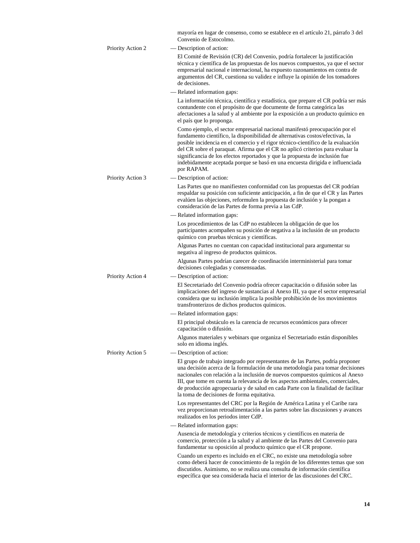|                   | mayoría en lugar de consenso, como se establece en el artículo 21, párrafo 3 del<br>Convenio de Estocolmo.                                                                                                                                                                                                                                                                                                                                                                                                      |
|-------------------|-----------------------------------------------------------------------------------------------------------------------------------------------------------------------------------------------------------------------------------------------------------------------------------------------------------------------------------------------------------------------------------------------------------------------------------------------------------------------------------------------------------------|
| Priority Action 2 | — Description of action:                                                                                                                                                                                                                                                                                                                                                                                                                                                                                        |
|                   | El Comité de Revisión (CR) del Convenio, podría fortalecer la justificación<br>técnica y científica de las propuestas de los nuevos compuestos, ya que el sector<br>empresarial nacional e internacional, ha expuesto razonamientos en contra de<br>argumentos del CR, cuestiona su validez e influye la opinión de los tomadores<br>de decisiones.                                                                                                                                                             |
|                   | - Related information gaps:                                                                                                                                                                                                                                                                                                                                                                                                                                                                                     |
|                   | La información técnica, científica y estadística, que prepare el CR podría ser más<br>contundente con el propósito de que documente de forma categórica las<br>afectaciones a la salud y al ambiente por la exposición a un producto químico en<br>el país que lo proponga.                                                                                                                                                                                                                                     |
|                   | Como ejemplo, el sector empresarial nacional manifestó preocupación por el<br>fundamento científico, la disponibilidad de alternativas costos/efectivas, la<br>posible incidencia en el comercio y el rigor técnico-científico de la evaluación<br>del CR sobre el paraquat. Afirma que el CR no aplicó criterios para evaluar la<br>significancia de los efectos reportados y que la propuesta de inclusión fue<br>indebidamente aceptada porque se basó en una encuesta dirigida e influenciada<br>por RAPAM. |
| Priority Action 3 | - Description of action:                                                                                                                                                                                                                                                                                                                                                                                                                                                                                        |
|                   | Las Partes que no manifiesten conformidad con las propuestas del CR podrían<br>respaldar su posición con suficiente anticipación, a fin de que el CR y las Partes<br>evalúen las objeciones, reformulen la propuesta de inclusión y la pongan a<br>consideración de las Partes de forma previa a las CdP.                                                                                                                                                                                                       |
|                   | - Related information gaps:                                                                                                                                                                                                                                                                                                                                                                                                                                                                                     |
|                   | Los procedimientos de las CdP no establecen la obligación de que los<br>participantes acompañen su posición de negativa a la inclusión de un producto<br>químico con pruebas técnicas y científicas.                                                                                                                                                                                                                                                                                                            |
|                   | Algunas Partes no cuentan con capacidad institucional para argumentar su<br>negativa al ingreso de productos químicos.                                                                                                                                                                                                                                                                                                                                                                                          |
|                   | Algunas Partes podrían carecer de coordinación interministerial para tomar<br>decisiones colegiadas y consensuadas.                                                                                                                                                                                                                                                                                                                                                                                             |
| Priority Action 4 | — Description of action:                                                                                                                                                                                                                                                                                                                                                                                                                                                                                        |
|                   | El Secretariado del Convenio podría ofrecer capacitación o difusión sobre las<br>implicaciones del ingreso de sustancias al Anexo III, ya que el sector empresarial<br>considera que su inclusión implica la posible prohibición de los movimientos<br>transfronterizos de dichos productos químicos.                                                                                                                                                                                                           |
|                   | - Related information gaps:                                                                                                                                                                                                                                                                                                                                                                                                                                                                                     |
|                   | El principal obstáculo es la carencia de recursos económicos para ofrecer<br>capacitación o difusión.                                                                                                                                                                                                                                                                                                                                                                                                           |
|                   | Algunos materiales y webinars que organiza el Secretariado están disponibles<br>solo en idioma inglés.                                                                                                                                                                                                                                                                                                                                                                                                          |
| Priority Action 5 | — Description of action:                                                                                                                                                                                                                                                                                                                                                                                                                                                                                        |
|                   | El grupo de trabajo integrado por representantes de las Partes, podría proponer<br>una decisión acerca de la formulación de una metodología para tomar decisiones<br>nacionales con relación a la inclusión de nuevos compuestos químicos al Anexo<br>III, que tome en cuenta la relevancia de los aspectos ambientales, comerciales,<br>de producción agropecuaria y de salud en cada Parte con la finalidad de facilitar<br>la toma de decisiones de forma equitativa.                                        |
|                   | Los representantes del CRC por la Región de América Latina y el Caribe rara<br>vez proporcionan retroalimentación a las partes sobre las discusiones y avances<br>realizados en los periodos inter CdP.                                                                                                                                                                                                                                                                                                         |
|                   | - Related information gaps:                                                                                                                                                                                                                                                                                                                                                                                                                                                                                     |
|                   | Ausencia de metodología y criterios técnicos y científicos en materia de<br>comercio, protección a la salud y al ambiente de las Partes del Convenio para<br>fundamentar su oposición al producto químico que el CR propone.                                                                                                                                                                                                                                                                                    |
|                   | Cuando un experto es incluido en el CRC, no existe una metodología sobre<br>como deberá hacer de conocimiento de la región de los diferentes temas que son<br>discutidos. Asimismo, no se realiza una consulta de información científica<br>específica que sea considerada hacia el interior de las discusiones del CRC.                                                                                                                                                                                        |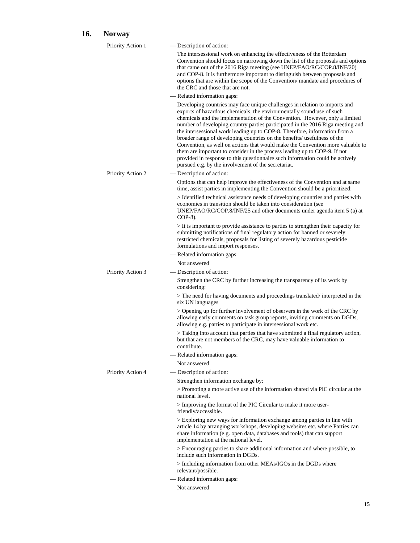# **16. Norway**

| Priority Action 1 | - Description of action:                                                                                                                                                                                                                                                                                                                                                                                                                                                                                                                                                                                                                                                                                                                                                             |
|-------------------|--------------------------------------------------------------------------------------------------------------------------------------------------------------------------------------------------------------------------------------------------------------------------------------------------------------------------------------------------------------------------------------------------------------------------------------------------------------------------------------------------------------------------------------------------------------------------------------------------------------------------------------------------------------------------------------------------------------------------------------------------------------------------------------|
|                   | The intersessional work on enhancing the effectiveness of the Rotterdam<br>Convention should focus on narrowing down the list of the proposals and options<br>that came out of the 2016 Riga meeting (see UNEP/FAO/RC/COP.8/INF/20)<br>and COP-8. It is furthermore important to distinguish between proposals and<br>options that are within the scope of the Convention/mandate and procedures of<br>the CRC and those that are not.                                                                                                                                                                                                                                                                                                                                               |
|                   | — Related information gaps:                                                                                                                                                                                                                                                                                                                                                                                                                                                                                                                                                                                                                                                                                                                                                          |
|                   | Developing countries may face unique challenges in relation to imports and<br>exports of hazardous chemicals, the environmentally sound use of such<br>chemicals and the implementation of the Convention. However, only a limited<br>number of developing country parties participated in the 2016 Riga meeting and<br>the intersessional work leading up to COP-8. Therefore, information from a<br>broader range of developing countries on the benefits/usefulness of the<br>Convention, as well on actions that would make the Convention more valuable to<br>them are important to consider in the process leading up to COP-9. If not<br>provided in response to this questionnaire such information could be actively<br>pursued e.g. by the involvement of the secretariat. |
| Priority Action 2 | — Description of action:                                                                                                                                                                                                                                                                                                                                                                                                                                                                                                                                                                                                                                                                                                                                                             |
|                   | Options that can help improve the effectiveness of the Convention and at same<br>time, assist parties in implementing the Convention should be a prioritized:                                                                                                                                                                                                                                                                                                                                                                                                                                                                                                                                                                                                                        |
|                   | > Identified technical assistance needs of developing countries and parties with<br>economies in transition should be taken into consideration (see<br>UNEP/FAO/RC/COP.8/INF/25 and other documents under agenda item $5$ (a) at<br>$COP-8$ ).                                                                                                                                                                                                                                                                                                                                                                                                                                                                                                                                       |
|                   | $>$ It is important to provide assistance to parties to strengthen their capacity for<br>submitting notifications of final regulatory action for banned or severely<br>restricted chemicals, proposals for listing of severely hazardous pesticide<br>formulations and import responses.                                                                                                                                                                                                                                                                                                                                                                                                                                                                                             |
|                   | - Related information gaps:                                                                                                                                                                                                                                                                                                                                                                                                                                                                                                                                                                                                                                                                                                                                                          |
|                   | Not answered                                                                                                                                                                                                                                                                                                                                                                                                                                                                                                                                                                                                                                                                                                                                                                         |
| Priority Action 3 | — Description of action:                                                                                                                                                                                                                                                                                                                                                                                                                                                                                                                                                                                                                                                                                                                                                             |
|                   | Strengthen the CRC by further increasing the transparency of its work by<br>considering:                                                                                                                                                                                                                                                                                                                                                                                                                                                                                                                                                                                                                                                                                             |
|                   | > The need for having documents and proceedings translated/interpreted in the<br>six UN languages                                                                                                                                                                                                                                                                                                                                                                                                                                                                                                                                                                                                                                                                                    |
|                   | > Opening up for further involvement of observers in the work of the CRC by<br>allowing early comments on task group reports, inviting comments on DGDs,<br>allowing e.g. parties to participate in intersessional work etc.                                                                                                                                                                                                                                                                                                                                                                                                                                                                                                                                                         |
|                   | > Taking into account that parties that have submitted a final regulatory action,<br>but that are not members of the CRC, may have valuable information to<br>contribute.                                                                                                                                                                                                                                                                                                                                                                                                                                                                                                                                                                                                            |
|                   | - Related information gaps:                                                                                                                                                                                                                                                                                                                                                                                                                                                                                                                                                                                                                                                                                                                                                          |
|                   | Not answered                                                                                                                                                                                                                                                                                                                                                                                                                                                                                                                                                                                                                                                                                                                                                                         |
| Priority Action 4 | — Description of action:                                                                                                                                                                                                                                                                                                                                                                                                                                                                                                                                                                                                                                                                                                                                                             |
|                   | Strengthen information exchange by:                                                                                                                                                                                                                                                                                                                                                                                                                                                                                                                                                                                                                                                                                                                                                  |
|                   | > Promoting a more active use of the information shared via PIC circular at the<br>national level.                                                                                                                                                                                                                                                                                                                                                                                                                                                                                                                                                                                                                                                                                   |
|                   | > Improving the format of the PIC Circular to make it more user-<br>friendly/accessible.                                                                                                                                                                                                                                                                                                                                                                                                                                                                                                                                                                                                                                                                                             |
|                   | > Exploring new ways for information exchange among parties in line with<br>article 14 by arranging workshops, developing websites etc. where Parties can<br>share information (e.g. open data, databases and tools) that can support<br>implementation at the national level.                                                                                                                                                                                                                                                                                                                                                                                                                                                                                                       |
|                   | > Encouraging parties to share additional information and where possible, to<br>include such information in DGDs.                                                                                                                                                                                                                                                                                                                                                                                                                                                                                                                                                                                                                                                                    |
|                   | > Including information from other MEAs/IGOs in the DGDs where<br>relevant/possible.                                                                                                                                                                                                                                                                                                                                                                                                                                                                                                                                                                                                                                                                                                 |
|                   | - Related information gaps:                                                                                                                                                                                                                                                                                                                                                                                                                                                                                                                                                                                                                                                                                                                                                          |
|                   | Not answered                                                                                                                                                                                                                                                                                                                                                                                                                                                                                                                                                                                                                                                                                                                                                                         |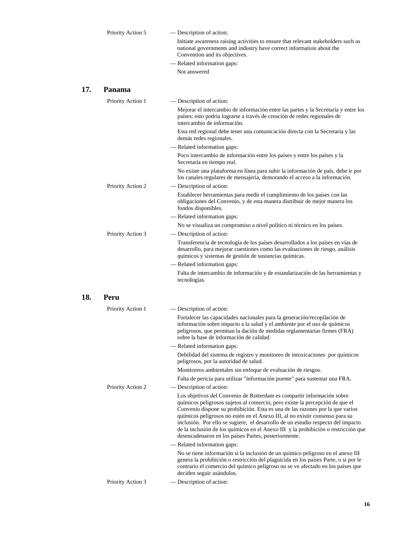| Priority Action 5 | — Description of action:                                                                                                                                                                     |
|-------------------|----------------------------------------------------------------------------------------------------------------------------------------------------------------------------------------------|
|                   | Initiate awareness raising activities to ensure that relevant stakeholders such as<br>national governments and industry have correct information about the<br>Convention and its objectives. |
|                   | — Related information gaps:                                                                                                                                                                  |
|                   | Not answered                                                                                                                                                                                 |

#### **17. Panama**

18.

| Priority Action 1 | — Description of action:                                                                                                                                                                                                                                                                                                                                                                                                                                                                                                                                  |
|-------------------|-----------------------------------------------------------------------------------------------------------------------------------------------------------------------------------------------------------------------------------------------------------------------------------------------------------------------------------------------------------------------------------------------------------------------------------------------------------------------------------------------------------------------------------------------------------|
|                   | Mejorar el intercambio de información entre las partes y la Secretaría y entre los<br>países: esto podría lograrse a través de creación de redes regionales de<br>intercambio de información.                                                                                                                                                                                                                                                                                                                                                             |
|                   | Esta red regional debe tener una comunicación directa con la Secretaría y las<br>demás redes regionales.                                                                                                                                                                                                                                                                                                                                                                                                                                                  |
|                   | — Related information gaps:                                                                                                                                                                                                                                                                                                                                                                                                                                                                                                                               |
|                   | Poco intercambio de información entre los países y entre los países y la<br>Secretaría en tiempo real.                                                                                                                                                                                                                                                                                                                                                                                                                                                    |
|                   | No existe una plataforma en línea para subir la información de país, debe ir por<br>los canales regulares de mensajería, demorando el acceso a la información.                                                                                                                                                                                                                                                                                                                                                                                            |
| Priority Action 2 | — Description of action:                                                                                                                                                                                                                                                                                                                                                                                                                                                                                                                                  |
|                   | Establecer herramientas para medir el cumplimiento de los países con las<br>obligaciones del Convenio, y de esta manera distribuir de mejor manera los<br>fondos disponibles.                                                                                                                                                                                                                                                                                                                                                                             |
|                   | — Related information gaps:                                                                                                                                                                                                                                                                                                                                                                                                                                                                                                                               |
|                   | No se visualiza un compromiso a nivel político ni técnico en los países.                                                                                                                                                                                                                                                                                                                                                                                                                                                                                  |
| Priority Action 3 | — Description of action:                                                                                                                                                                                                                                                                                                                                                                                                                                                                                                                                  |
|                   | Transferencia de tecnología de los países desarrollados a los países en vías de<br>desarrollo, para mejorar cuestiones como las evaluaciones de riesgo, análisis<br>químicos y sistemas de gestión de sustancias químicas.                                                                                                                                                                                                                                                                                                                                |
|                   | - Related information gaps:                                                                                                                                                                                                                                                                                                                                                                                                                                                                                                                               |
|                   | Falta de intercambio de información y de estandarización de las herramientas y<br>tecnologías.                                                                                                                                                                                                                                                                                                                                                                                                                                                            |
| Peru              |                                                                                                                                                                                                                                                                                                                                                                                                                                                                                                                                                           |
| Priority Action 1 | — Description of action:                                                                                                                                                                                                                                                                                                                                                                                                                                                                                                                                  |
|                   | Fortalecer las capacidades nacionales para la generación/recopilación de<br>información sobre impacto a la salud y el ambiente por el uso de químicos<br>peligrosos, que permitan la dación de medidas reglamentarias firmes (FRA)<br>sobre la base de información de calidad.                                                                                                                                                                                                                                                                            |
|                   | — Related information gaps:                                                                                                                                                                                                                                                                                                                                                                                                                                                                                                                               |
|                   | Debilidad del sistema de registro y monitoreo de intoxicaciones por químicos<br>peligrosos, por la autoridad de salud.                                                                                                                                                                                                                                                                                                                                                                                                                                    |
|                   | Monitoreos ambientales sin enfoque de evaluación de riesgos.                                                                                                                                                                                                                                                                                                                                                                                                                                                                                              |
|                   | Falta de pericia para utilizar "información puente" para sustentar una FRA.                                                                                                                                                                                                                                                                                                                                                                                                                                                                               |
| Priority Action 2 | — Description of action:                                                                                                                                                                                                                                                                                                                                                                                                                                                                                                                                  |
|                   | Los objetivos del Convenio de Rotterdam es compartir información sobre<br>químicos peligrosos sujetos al comercio, pero existe la percepción de que el<br>Convenio dispone su prohibición. Esta es una de las razones por la que varios<br>químicos peligrosos no estén en el Anexo III, al no existir consenso para su<br>inclusión. Por ello se sugiere, el desarrollo de un estudio respecto del impacto<br>de la inclusión de los químicos en el Anexo III y la prohibición o restricción que<br>desencadenaron en los países Partes, posteriormente. |
|                   | — Related information gaps:                                                                                                                                                                                                                                                                                                                                                                                                                                                                                                                               |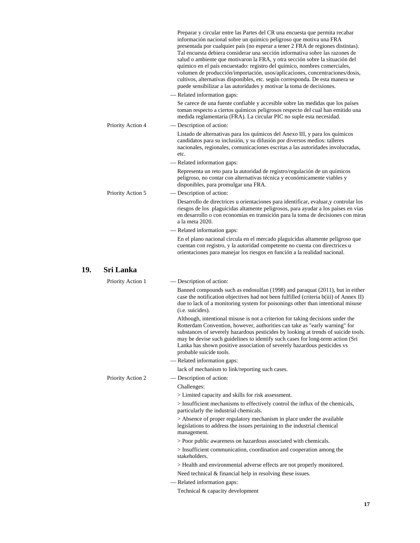|     |                   | Preparar y circular entre las Partes del CR una encuesta que permita recabar<br>información nacional sobre un químico peligroso que motiva una FRA<br>presentada por cualquier país (no esperar a tener 2 FRA de regiones distintas).<br>Tal encuesta debiera considerar una sección informativa sobre las razones de<br>salud o ambiente que motivaron la FRA, y otra sección sobre la situación del<br>químico en el país encuestado: registro del químico, nombres comerciales,<br>volumen de producción/importación, usos/aplicaciones, concentraciones/dosis,<br>cultivos, alternativas disponibles, etc. según corresponda. De esta manera se<br>puede sensibilizar a las autoridades y motivar la toma de decisiones. |
|-----|-------------------|------------------------------------------------------------------------------------------------------------------------------------------------------------------------------------------------------------------------------------------------------------------------------------------------------------------------------------------------------------------------------------------------------------------------------------------------------------------------------------------------------------------------------------------------------------------------------------------------------------------------------------------------------------------------------------------------------------------------------|
|     |                   | - Related information gaps:                                                                                                                                                                                                                                                                                                                                                                                                                                                                                                                                                                                                                                                                                                  |
|     |                   | Se carece de una fuente confiable y accesible sobre las medidas que los países<br>toman respecto a ciertos químicos peligrosos respecto del cual han emitido una<br>medida reglamentaria (FRA). La circular PIC no suple esta necesidad.                                                                                                                                                                                                                                                                                                                                                                                                                                                                                     |
|     | Priority Action 4 | — Description of action:                                                                                                                                                                                                                                                                                                                                                                                                                                                                                                                                                                                                                                                                                                     |
|     |                   | Listado de alternativas para los químicos del Anexo III, y para los químicos<br>candidatos para su inclusión, y su difusión por diversos medios: talleres<br>nacionales, regionales, comunicaciones escritas a las autoridades involucradas,<br>etc.                                                                                                                                                                                                                                                                                                                                                                                                                                                                         |
|     |                   | - Related information gaps:                                                                                                                                                                                                                                                                                                                                                                                                                                                                                                                                                                                                                                                                                                  |
|     |                   | Representa un reto para la autoridad de registro/regulación de un químicos<br>peligroso, no contar con alternativas técnica y económicamente viables y<br>disponibles, para promulgar una FRA.                                                                                                                                                                                                                                                                                                                                                                                                                                                                                                                               |
|     | Priority Action 5 | — Description of action:                                                                                                                                                                                                                                                                                                                                                                                                                                                                                                                                                                                                                                                                                                     |
|     |                   | Desarrollo de directrices u orientaciones para identificar, evaluar, y controlar los<br>riesgos de los plaguicidas altamente peligrosos, para ayudar a los países en vías<br>en desarrollo o con economías en transición para la toma de decisiones con miras<br>a la meta 2020.                                                                                                                                                                                                                                                                                                                                                                                                                                             |
|     |                   | - Related information gaps:                                                                                                                                                                                                                                                                                                                                                                                                                                                                                                                                                                                                                                                                                                  |
|     |                   | En el plano nacional circula en el mercado plaguicidas altamente peligroso que<br>cuentan con registro, y la autoridad competente no cuenta con directrices u<br>orientaciones para manejar los riesgos en función a la realidad nacional.                                                                                                                                                                                                                                                                                                                                                                                                                                                                                   |
| 19. | <b>Sri Lanka</b>  |                                                                                                                                                                                                                                                                                                                                                                                                                                                                                                                                                                                                                                                                                                                              |
|     | Priority Action 1 | — Description of action:                                                                                                                                                                                                                                                                                                                                                                                                                                                                                                                                                                                                                                                                                                     |
|     |                   | Banned compounds such as endosulfan (1998) and paraquat (2011), but in either<br>case the notification objectives had not been fulfilled (criteria b(iii) of Annex II)<br>due to lack of a monitoring system for poisonings other than intentional misuse<br>(i.e. suicides).                                                                                                                                                                                                                                                                                                                                                                                                                                                |
|     |                   |                                                                                                                                                                                                                                                                                                                                                                                                                                                                                                                                                                                                                                                                                                                              |
|     |                   | Although, intentional misuse is not a criterion for taking decisions under the<br>Rotterdam Convention, however, authorities can take as "early warning" for<br>substances of severely hazardous pesticides by looking at trends of suicide tools.<br>may be devise such guidelines to identify such cases for long-term action (Sri<br>Lanka has shown positive association of severely hazardous pesticides vs<br>probable suicide tools.                                                                                                                                                                                                                                                                                  |
|     |                   | - Related information gaps:                                                                                                                                                                                                                                                                                                                                                                                                                                                                                                                                                                                                                                                                                                  |
|     |                   | lack of mechanism to link/reporting such cases.                                                                                                                                                                                                                                                                                                                                                                                                                                                                                                                                                                                                                                                                              |
|     | Priority Action 2 | — Description of action:                                                                                                                                                                                                                                                                                                                                                                                                                                                                                                                                                                                                                                                                                                     |
|     |                   | Challenges:                                                                                                                                                                                                                                                                                                                                                                                                                                                                                                                                                                                                                                                                                                                  |
|     |                   | > Limited capacity and skills for risk assessment.                                                                                                                                                                                                                                                                                                                                                                                                                                                                                                                                                                                                                                                                           |
|     |                   | > Insufficient mechanisms to effectively control the influx of the chemicals,<br>particularly the industrial chemicals.                                                                                                                                                                                                                                                                                                                                                                                                                                                                                                                                                                                                      |
|     |                   | > Absence of proper regulatory mechanism in place under the available<br>legislations to address the issues pertaining to the industrial chemical<br>management.                                                                                                                                                                                                                                                                                                                                                                                                                                                                                                                                                             |
|     |                   | > Poor public awareness on hazardous associated with chemicals.                                                                                                                                                                                                                                                                                                                                                                                                                                                                                                                                                                                                                                                              |
|     |                   | > Insufficient communication, coordination and cooperation among the<br>stakeholders.                                                                                                                                                                                                                                                                                                                                                                                                                                                                                                                                                                                                                                        |
|     |                   | > Health and environmental adverse effects are not properly monitored.                                                                                                                                                                                                                                                                                                                                                                                                                                                                                                                                                                                                                                                       |
|     |                   | Need technical & financial help in resolving these issues.                                                                                                                                                                                                                                                                                                                                                                                                                                                                                                                                                                                                                                                                   |
|     |                   | - Related information gaps:<br>Technical & capacity development                                                                                                                                                                                                                                                                                                                                                                                                                                                                                                                                                                                                                                                              |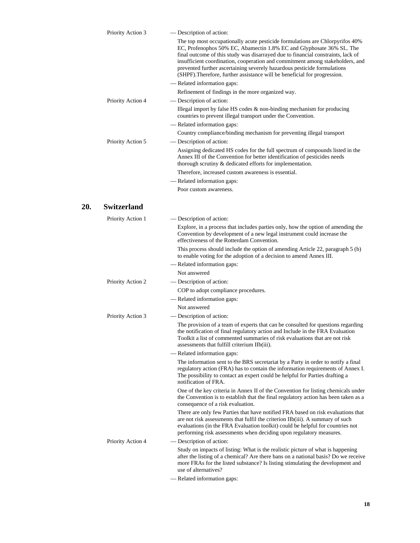| Priority Action 3  | — Description of action:<br>The top most occupationally acute pesticide formulations are Chlorpyrifos 40%<br>EC, Profenophos 50% EC, Abamectin 1.8% EC and Glyphosate 36% SL. The<br>final outcome of this study was disarrayed due to financial constraints, lack of<br>insufficient coordination, cooperation and commitment among stakeholders, and<br>prevented further ascertaining severely hazardous pesticide formulations<br>(SHPF). Therefore, further assistance will be beneficial for progression. |
|--------------------|-----------------------------------------------------------------------------------------------------------------------------------------------------------------------------------------------------------------------------------------------------------------------------------------------------------------------------------------------------------------------------------------------------------------------------------------------------------------------------------------------------------------|
|                    | - Related information gaps:                                                                                                                                                                                                                                                                                                                                                                                                                                                                                     |
|                    | Refinement of findings in the more organized way.                                                                                                                                                                                                                                                                                                                                                                                                                                                               |
| Priority Action 4  | — Description of action:                                                                                                                                                                                                                                                                                                                                                                                                                                                                                        |
|                    | Illegal import by false HS codes $\&$ non-binding mechanism for producing<br>countries to prevent illegal transport under the Convention.                                                                                                                                                                                                                                                                                                                                                                       |
|                    | - Related information gaps:                                                                                                                                                                                                                                                                                                                                                                                                                                                                                     |
|                    | Country compliance/binding mechanism for preventing illegal transport                                                                                                                                                                                                                                                                                                                                                                                                                                           |
| Priority Action 5  | - Description of action:                                                                                                                                                                                                                                                                                                                                                                                                                                                                                        |
|                    | Assigning dedicated HS codes for the full spectrum of compounds listed in the<br>Annex III of the Convention for better identification of pesticides needs<br>thorough scrutiny & dedicated efforts for implementation.                                                                                                                                                                                                                                                                                         |
|                    | Therefore, increased custom awareness is essential.                                                                                                                                                                                                                                                                                                                                                                                                                                                             |
|                    | - Related information gaps:                                                                                                                                                                                                                                                                                                                                                                                                                                                                                     |
|                    | Poor custom awareness.                                                                                                                                                                                                                                                                                                                                                                                                                                                                                          |
| <b>Switzerland</b> |                                                                                                                                                                                                                                                                                                                                                                                                                                                                                                                 |
| Priority Action 1  | — Description of action:                                                                                                                                                                                                                                                                                                                                                                                                                                                                                        |
|                    | Explore, in a process that includes parties only, how the option of amending the<br>Convention by development of a new legal instrument could increase the<br>effectiveness of the Rotterdam Convention.                                                                                                                                                                                                                                                                                                        |
|                    | This process should include the option of amending Article 22, paragraph 5 (b)<br>to enable voting for the adoption of a decision to amend Annex III.                                                                                                                                                                                                                                                                                                                                                           |
|                    | - Related information gaps:                                                                                                                                                                                                                                                                                                                                                                                                                                                                                     |
|                    | Not answered                                                                                                                                                                                                                                                                                                                                                                                                                                                                                                    |
| Priority Action 2  | - Description of action:                                                                                                                                                                                                                                                                                                                                                                                                                                                                                        |
|                    | COP to adopt compliance procedures.                                                                                                                                                                                                                                                                                                                                                                                                                                                                             |
|                    | - Related information gaps:                                                                                                                                                                                                                                                                                                                                                                                                                                                                                     |
|                    | Not answered                                                                                                                                                                                                                                                                                                                                                                                                                                                                                                    |
| Priority Action 3  | - Description of action:                                                                                                                                                                                                                                                                                                                                                                                                                                                                                        |
|                    | The provision of a team of experts that can be consulted for questions regarding                                                                                                                                                                                                                                                                                                                                                                                                                                |

**20. Switzerland** 

the notification of final regulatory action and Include in the FRA Evaluation Toolkit a list of commented summaries of risk evaluations that are not risk assessments that fulfill criterium IIb(iii). — Related information gaps: The information sent to the BRS secretariat by a Party in order to notify a final

regulatory action (FRA) has to contain the information requirements of Annex I. The possibility to contact an expert could be helpful for Parties drafting a notification of FRA. One of the key criteria in Annex II of the Convention for listing chemicals under the Convention is to establish that the final regulatory action has been taken as a consequence of a risk evaluation.

There are only few Parties that have notified FRA based on risk evaluations that are not risk assessments that fulfil the criterion IIb(iii). A summary of such evaluations (in the FRA Evaluation toolkit) could be helpful for countries not performing risk assessments when deciding upon regulatory measures.

- Priority Action 4 Description of action: Study on impacts of listing: What is the realistic picture of what is happening after the listing of a chemical? Are there bans on a national basis? Do we receive more FRAs for the listed substance? Is listing stimulating the development and use of alternatives?
	- Related information gaps: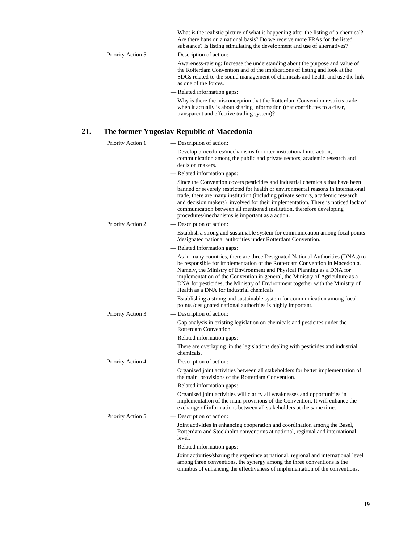|                   | What is the realistic picture of what is happening after the listing of a chemical?<br>Are there bans on a national basis? Do we receive more FRAs for the listed<br>substance? Is listing stimulating the development and use of alternatives?                       |
|-------------------|-----------------------------------------------------------------------------------------------------------------------------------------------------------------------------------------------------------------------------------------------------------------------|
| Priority Action 5 | — Description of action:                                                                                                                                                                                                                                              |
|                   | Awareness-raising: Increase the understanding about the purpose and value of<br>the Rotterdam Convention and of the implications of listing and look at the<br>SDGs related to the sound management of chemicals and health and use the link<br>as one of the forces. |
|                   | — Related information gaps:                                                                                                                                                                                                                                           |
|                   | Why is there the misconception that the Rotterdam Convention restricts trade<br>when it actually is about sharing information (that contributes to a clear,<br>transparent and effective trading system)?                                                             |

### **21. The former Yugoslav Republic of Macedonia**

| Priority Action 1        | — Description of action:                                                                                                                                                                                                                                                                                                                                                                                                                                                |
|--------------------------|-------------------------------------------------------------------------------------------------------------------------------------------------------------------------------------------------------------------------------------------------------------------------------------------------------------------------------------------------------------------------------------------------------------------------------------------------------------------------|
|                          | Develop procedures/mechanisms for inter-institutional interaction,<br>communication among the public and private sectors, academic research and<br>decision makers.                                                                                                                                                                                                                                                                                                     |
|                          | — Related information gaps:                                                                                                                                                                                                                                                                                                                                                                                                                                             |
|                          | Since the Convention covers pesticides and industrial chemicals that have been<br>banned or severely restricted for health or environmental reasons in international<br>trade, there are many institution (including private sectors, academic research<br>and decision makers) involved for their implementation. There is noticed lack of<br>communication between all mentioned institution, therefore developing<br>procedures/mechanisms is important as a action. |
| Priority Action 2        | — Description of action:                                                                                                                                                                                                                                                                                                                                                                                                                                                |
|                          | Establish a strong and sustainable system for communication among focal points<br>/designated national authorities under Rotterdam Convention.                                                                                                                                                                                                                                                                                                                          |
|                          | — Related information gaps:                                                                                                                                                                                                                                                                                                                                                                                                                                             |
|                          | As in many countries, there are three Designated National Authorities (DNAs) to<br>be responsible for implementation of the Rotterdam Convention in Macedonia.<br>Namely, the Ministry of Environment and Physical Planning as a DNA for<br>implementation of the Convention in general, the Ministry of Agriculture as a<br>DNA for pesticides, the Ministry of Environment together with the Ministry of<br>Health as a DNA for industrial chemicals.                 |
|                          | Establishing a strong and sustainable system for communication among focal<br>points / designated national authorities is highly important.                                                                                                                                                                                                                                                                                                                             |
| Priority Action 3        | — Description of action:                                                                                                                                                                                                                                                                                                                                                                                                                                                |
|                          | Gap analysis in existing legislation on chemicals and pesticites under the<br>Rotterdam Convention.                                                                                                                                                                                                                                                                                                                                                                     |
|                          | — Related information gaps:                                                                                                                                                                                                                                                                                                                                                                                                                                             |
|                          | There are overlaping in the legislations dealing with pesticides and industrial<br>chemicals.                                                                                                                                                                                                                                                                                                                                                                           |
| <b>Priority Action 4</b> | — Description of action:                                                                                                                                                                                                                                                                                                                                                                                                                                                |
|                          | Organised joint activities between all stakeholders for better implementation of<br>the main provisions of the Rotterdam Convention.                                                                                                                                                                                                                                                                                                                                    |
|                          | - Related information gaps:                                                                                                                                                                                                                                                                                                                                                                                                                                             |
|                          | Organised joint activities will clarify all weaknesses and opportunities in<br>implementation of the main provisions of the Convention. It will enhance the<br>exchange of informations between all stakeholders at the same time.                                                                                                                                                                                                                                      |
| Priority Action 5        | — Description of action:                                                                                                                                                                                                                                                                                                                                                                                                                                                |
|                          | Joint activities in enhancing cooperation and coordination among the Basel,<br>Rotterdam and Stockholm conventions at national, regional and international<br>level.                                                                                                                                                                                                                                                                                                    |
|                          | — Related information gaps:                                                                                                                                                                                                                                                                                                                                                                                                                                             |
|                          | Joint activities/sharing the experince at national, regional and international level<br>among three conventions, the synergy among the three conventions is the<br>omnibus of enhancing the effectiveness of implementation of the conventions.                                                                                                                                                                                                                         |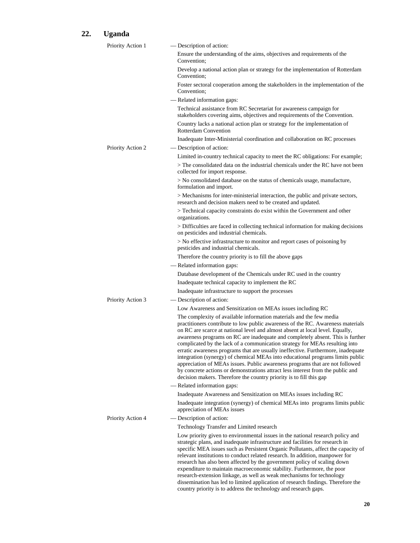# **22. Uganda**

| Priority Action 1 | - Description of action:                                                                                                                                                                                                                                                                                                                                                                                                                                                                                                                                                                                                                                                                                                                                                                                                 |
|-------------------|--------------------------------------------------------------------------------------------------------------------------------------------------------------------------------------------------------------------------------------------------------------------------------------------------------------------------------------------------------------------------------------------------------------------------------------------------------------------------------------------------------------------------------------------------------------------------------------------------------------------------------------------------------------------------------------------------------------------------------------------------------------------------------------------------------------------------|
|                   | Ensure the understanding of the aims, objectives and requirements of the<br>Convention;                                                                                                                                                                                                                                                                                                                                                                                                                                                                                                                                                                                                                                                                                                                                  |
|                   | Develop a national action plan or strategy for the implementation of Rotterdam<br>Convention;                                                                                                                                                                                                                                                                                                                                                                                                                                                                                                                                                                                                                                                                                                                            |
|                   | Foster sectoral cooperation among the stakeholders in the implementation of the<br>Convention;                                                                                                                                                                                                                                                                                                                                                                                                                                                                                                                                                                                                                                                                                                                           |
|                   | - Related information gaps:                                                                                                                                                                                                                                                                                                                                                                                                                                                                                                                                                                                                                                                                                                                                                                                              |
|                   | Technical assistance from RC Secretariat for awareness campaign for<br>stakeholders covering aims, objectives and requirements of the Convention.                                                                                                                                                                                                                                                                                                                                                                                                                                                                                                                                                                                                                                                                        |
|                   | Country lacks a national action plan or strategy for the implementation of<br><b>Rotterdam Convention</b>                                                                                                                                                                                                                                                                                                                                                                                                                                                                                                                                                                                                                                                                                                                |
|                   | Inadequate Inter-Ministerial coordination and collaboration on RC processes                                                                                                                                                                                                                                                                                                                                                                                                                                                                                                                                                                                                                                                                                                                                              |
| Priority Action 2 | — Description of action:                                                                                                                                                                                                                                                                                                                                                                                                                                                                                                                                                                                                                                                                                                                                                                                                 |
|                   | Limited in-country technical capacity to meet the RC obligations: For example;                                                                                                                                                                                                                                                                                                                                                                                                                                                                                                                                                                                                                                                                                                                                           |
|                   | > The consolidated data on the industrial chemicals under the RC have not been<br>collected for import response.                                                                                                                                                                                                                                                                                                                                                                                                                                                                                                                                                                                                                                                                                                         |
|                   | > No consolidated database on the status of chemicals usage, manufacture,<br>formulation and import.                                                                                                                                                                                                                                                                                                                                                                                                                                                                                                                                                                                                                                                                                                                     |
|                   | > Mechanisms for inter-ministerial interaction, the public and private sectors,<br>research and decision makers need to be created and updated.                                                                                                                                                                                                                                                                                                                                                                                                                                                                                                                                                                                                                                                                          |
|                   | > Technical capacity constraints do exist within the Government and other<br>organizations.                                                                                                                                                                                                                                                                                                                                                                                                                                                                                                                                                                                                                                                                                                                              |
|                   | > Difficulties are faced in collecting technical information for making decisions<br>on pesticides and industrial chemicals.                                                                                                                                                                                                                                                                                                                                                                                                                                                                                                                                                                                                                                                                                             |
|                   | > No effective infrastructure to monitor and report cases of poisoning by<br>pesticides and industrial chemicals.                                                                                                                                                                                                                                                                                                                                                                                                                                                                                                                                                                                                                                                                                                        |
|                   | Therefore the country priority is to fill the above gaps                                                                                                                                                                                                                                                                                                                                                                                                                                                                                                                                                                                                                                                                                                                                                                 |
|                   | - Related information gaps:                                                                                                                                                                                                                                                                                                                                                                                                                                                                                                                                                                                                                                                                                                                                                                                              |
|                   | Database development of the Chemicals under RC used in the country                                                                                                                                                                                                                                                                                                                                                                                                                                                                                                                                                                                                                                                                                                                                                       |
|                   | Inadequate technical capacity to implement the RC                                                                                                                                                                                                                                                                                                                                                                                                                                                                                                                                                                                                                                                                                                                                                                        |
|                   | Inadequate infrastructure to support the processes                                                                                                                                                                                                                                                                                                                                                                                                                                                                                                                                                                                                                                                                                                                                                                       |
| Priority Action 3 | — Description of action:                                                                                                                                                                                                                                                                                                                                                                                                                                                                                                                                                                                                                                                                                                                                                                                                 |
|                   | Low Awareness and Sensitization on MEAs issues including RC                                                                                                                                                                                                                                                                                                                                                                                                                                                                                                                                                                                                                                                                                                                                                              |
|                   | The complexity of available information materials and the few media<br>practitioners contribute to low public awareness of the RC. Awareness materials<br>on RC are scarce at national level and almost absent at local level. Equally,<br>awareness programs on RC are inadequate and completely absent. This is further<br>complicated by the lack of a communication strategy for MEAs resulting into<br>erratic awareness programs that are usually ineffective. Furthermore, inadequate<br>integration (synergy) of chemical MEAs into educational programs limits public<br>appreciation of MEAs issues. Public awareness programs that are not followed<br>by concrete actions or demonstrations attract less interest from the public and<br>decision makers. Therefore the country priority is to fill this gap |
|                   | - Related information gaps:                                                                                                                                                                                                                                                                                                                                                                                                                                                                                                                                                                                                                                                                                                                                                                                              |
|                   | Inadequate Awareness and Sensitization on MEAs issues including RC                                                                                                                                                                                                                                                                                                                                                                                                                                                                                                                                                                                                                                                                                                                                                       |
|                   | Inadequate integration (synergy) of chemical MEAs into programs limits public<br>appreciation of MEAs issues                                                                                                                                                                                                                                                                                                                                                                                                                                                                                                                                                                                                                                                                                                             |
| Priority Action 4 | - Description of action:                                                                                                                                                                                                                                                                                                                                                                                                                                                                                                                                                                                                                                                                                                                                                                                                 |
|                   | Technology Transfer and Limited research                                                                                                                                                                                                                                                                                                                                                                                                                                                                                                                                                                                                                                                                                                                                                                                 |
|                   | Low priority given to environmental issues in the national research policy and<br>strategic plans, and inadequate infrastructure and facilities for research in<br>specific MEA issues such as Persistent Organic Pollutants, affect the capacity of<br>relevant institutions to conduct related research. In addition, manpower for<br>research has also been affected by the government policy of scaling down<br>expenditure to maintain macroeconomic stability. Furthermore, the poor<br>research-extension linkage, as well as weak mechanisms for technology<br>dissemination has led to limited application of research findings. Therefore the<br>country priority is to address the technology and research gaps.                                                                                              |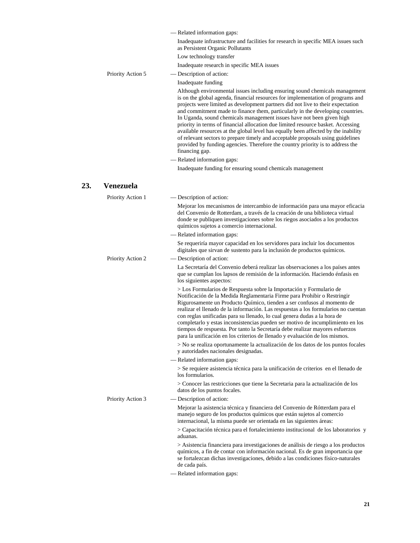|                   | — Related information gaps:                                                                                                                                                                                                                                                                                                                                                                                                                                                                                                                                                                                                                                                                                                                                                   |
|-------------------|-------------------------------------------------------------------------------------------------------------------------------------------------------------------------------------------------------------------------------------------------------------------------------------------------------------------------------------------------------------------------------------------------------------------------------------------------------------------------------------------------------------------------------------------------------------------------------------------------------------------------------------------------------------------------------------------------------------------------------------------------------------------------------|
|                   | Inadequate infrastructure and facilities for research in specific MEA issues such<br>as Persistent Organic Pollutants                                                                                                                                                                                                                                                                                                                                                                                                                                                                                                                                                                                                                                                         |
|                   | Low technology transfer                                                                                                                                                                                                                                                                                                                                                                                                                                                                                                                                                                                                                                                                                                                                                       |
|                   | Inadequate research in specific MEA issues                                                                                                                                                                                                                                                                                                                                                                                                                                                                                                                                                                                                                                                                                                                                    |
| Priority Action 5 | — Description of action:                                                                                                                                                                                                                                                                                                                                                                                                                                                                                                                                                                                                                                                                                                                                                      |
|                   | Inadequate funding                                                                                                                                                                                                                                                                                                                                                                                                                                                                                                                                                                                                                                                                                                                                                            |
|                   | Although environmental issues including ensuring sound chemicals management<br>is on the global agenda, financial resources for implementation of programs and<br>projects were limited as development partners did not live to their expectation<br>and commitment made to finance them, particularly in the developing countries.<br>In Uganda, sound chemicals management issues have not been given high<br>priority in terms of financial allocation due limited resource basket. Accessing<br>available resources at the global level has equally been affected by the inability<br>of relevant sectors to prepare timely and acceptable proposals using guidelines<br>provided by funding agencies. Therefore the country priority is to address the<br>financing gap. |
|                   | - Related information gaps:                                                                                                                                                                                                                                                                                                                                                                                                                                                                                                                                                                                                                                                                                                                                                   |
|                   | Inadequate funding for ensuring sound chemicals management                                                                                                                                                                                                                                                                                                                                                                                                                                                                                                                                                                                                                                                                                                                    |
| Venezuela         |                                                                                                                                                                                                                                                                                                                                                                                                                                                                                                                                                                                                                                                                                                                                                                               |
| Priority Action 1 | - Description of action:                                                                                                                                                                                                                                                                                                                                                                                                                                                                                                                                                                                                                                                                                                                                                      |
|                   | Mejorar los mecanismos de intercambio de información para una mayor eficacia<br>del Convenio de Rotterdam, a través de la creación de una biblioteca virtual<br>donde se publiquen investigaciones sobre los riegos asociados a los productos<br>químicos sujetos a comercio internacional.                                                                                                                                                                                                                                                                                                                                                                                                                                                                                   |
|                   | - Related information gaps:                                                                                                                                                                                                                                                                                                                                                                                                                                                                                                                                                                                                                                                                                                                                                   |
|                   | Se requeriría mayor capacidad en los servidores para incluir los documentos                                                                                                                                                                                                                                                                                                                                                                                                                                                                                                                                                                                                                                                                                                   |

### **23. Venezuela**

| Priority Action 1 | — Description of action:                                                                                                                                                                                                                                                                                                                                                                                                                                                                                                                                                                                                                       |
|-------------------|------------------------------------------------------------------------------------------------------------------------------------------------------------------------------------------------------------------------------------------------------------------------------------------------------------------------------------------------------------------------------------------------------------------------------------------------------------------------------------------------------------------------------------------------------------------------------------------------------------------------------------------------|
|                   | Mejorar los mecanismos de intercambio de información para una mayor eficacia<br>del Convenio de Rotterdam, a través de la creación de una biblioteca virtual<br>donde se publiquen investigaciones sobre los riegos asociados a los productos<br>químicos sujetos a comercio internacional.                                                                                                                                                                                                                                                                                                                                                    |
|                   | - Related information gaps:                                                                                                                                                                                                                                                                                                                                                                                                                                                                                                                                                                                                                    |
|                   | Se requeriría mayor capacidad en los servidores para incluir los documentos<br>digitales que sirvan de sustento para la inclusión de productos químicos.                                                                                                                                                                                                                                                                                                                                                                                                                                                                                       |
| Priority Action 2 | — Description of action:                                                                                                                                                                                                                                                                                                                                                                                                                                                                                                                                                                                                                       |
|                   | La Secretaría del Convenio deberá realizar las observaciones a los países antes<br>que se cumplan los lapsos de remisión de la información. Haciendo énfasis en<br>los siguientes aspectos:                                                                                                                                                                                                                                                                                                                                                                                                                                                    |
|                   | > Los Formularios de Respuesta sobre la Importación y Formulario de<br>Notificación de la Medida Reglamentaria Firme para Prohibir o Restringir<br>Rigurosamente un Producto Químico, tienden a ser confusos al momento de<br>realizar el llenado de la información. Las respuestas a los formularios no cuentan<br>con reglas unificadas para su llenado, lo cual genera dudas a la hora de<br>completarlo y estas inconsistencias pueden ser motivo de incumplimiento en los<br>tiempos de respuesta. Por tanto la Secretaría debe realizar mayores esfuerzos<br>para la unificación en los criterios de llenado y evaluación de los mismos. |
|                   | > No se realiza oportunamente la actualización de los datos de los puntos focales<br>y autoridades nacionales designadas.                                                                                                                                                                                                                                                                                                                                                                                                                                                                                                                      |
|                   | - Related information gaps:                                                                                                                                                                                                                                                                                                                                                                                                                                                                                                                                                                                                                    |
|                   | > Se requiere asistencia técnica para la unificación de criterios en el llenado de<br>los formularios.                                                                                                                                                                                                                                                                                                                                                                                                                                                                                                                                         |
|                   | > Conocer las restricciones que tiene la Secretaria para la actualización de los<br>datos de los puntos focales.                                                                                                                                                                                                                                                                                                                                                                                                                                                                                                                               |
| Priority Action 3 | — Description of action:                                                                                                                                                                                                                                                                                                                                                                                                                                                                                                                                                                                                                       |
|                   | Mejorar la asistencia técnica y financiera del Convenio de Rótterdam para el<br>manejo seguro de los productos químicos que están sujetos al comercio<br>internacional, la misma puede ser orientada en las siguientes áreas:                                                                                                                                                                                                                                                                                                                                                                                                                  |
|                   | > Capacitación técnica para el fortalecimiento institucional de los laboratorios y<br>aduanas.                                                                                                                                                                                                                                                                                                                                                                                                                                                                                                                                                 |
|                   | > Asistencia financiera para investigaciones de análisis de riesgo a los productos<br>químicos, a fin de contar con información nacional. Es de gran importancia que<br>se fortalezcan dichas investigaciones, debido a las condiciones físico-naturales<br>de cada país.                                                                                                                                                                                                                                                                                                                                                                      |
|                   | — Related information gaps:                                                                                                                                                                                                                                                                                                                                                                                                                                                                                                                                                                                                                    |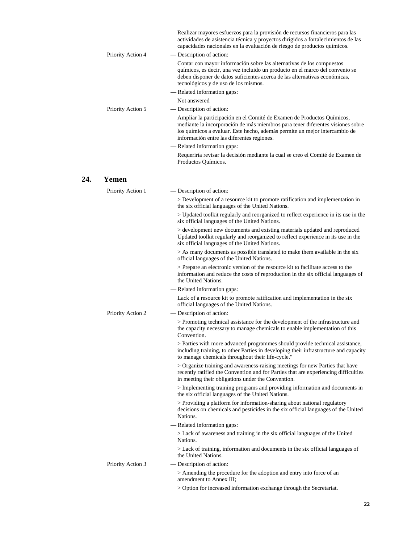|                   | actividades de asistencia técnica y proyectos dirigidos a fortalecimientos de las<br>capacidades nacionales en la evaluación de riesgo de productos químicos.                                                                                                                        |
|-------------------|--------------------------------------------------------------------------------------------------------------------------------------------------------------------------------------------------------------------------------------------------------------------------------------|
| Priority Action 4 | — Description of action:                                                                                                                                                                                                                                                             |
|                   | Contar con mayor información sobre las alternativas de los compuestos<br>químicos, es decir, una vez incluido un producto en el marco del convenio se<br>deben disponer de datos suficientes acerca de las alternativas económicas,<br>tecnológicos y de uso de los mismos.          |
|                   | — Related information gaps:                                                                                                                                                                                                                                                          |
|                   | Not answered                                                                                                                                                                                                                                                                         |
| Priority Action 5 | — Description of action:                                                                                                                                                                                                                                                             |
|                   | Ampliar la participación en el Comité de Examen de Productos Químicos,<br>mediante la incorporación de más miembros para tener diferentes visiones sobre<br>los químicos a evaluar. Este hecho, además permite un mejor intercambio de<br>información entre las diferentes regiones. |
|                   | — Related information gaps:                                                                                                                                                                                                                                                          |
|                   | Requeriría revisar la decisión mediante la cual se creo el Comité de Examen de<br>Productos Químicos.                                                                                                                                                                                |
|                   |                                                                                                                                                                                                                                                                                      |

# **24. Yemen**

|  | Priority Action 1 | — Description of action:                                                                                                                                                                                                  |
|--|-------------------|---------------------------------------------------------------------------------------------------------------------------------------------------------------------------------------------------------------------------|
|  |                   | > Development of a resource kit to promote ratification and implementation in<br>the six official languages of the United Nations.                                                                                        |
|  |                   | > Updated toolkit regularly and reorganized to reflect experience in its use in the<br>six official languages of the United Nations.                                                                                      |
|  |                   | > development new documents and existing materials updated and reproduced<br>Updated toolkit regularly and reorganized to reflect experience in its use in the<br>six official languages of the United Nations.           |
|  |                   | > As many documents as possible translated to make them available in the six<br>official languages of the United Nations.                                                                                                 |
|  |                   | > Prepare an electronic version of the resource kit to facilitate access to the<br>information and reduce the costs of reproduction in the six official languages of<br>the United Nations.                               |
|  |                   | - Related information gaps:                                                                                                                                                                                               |
|  |                   | Lack of a resource kit to promote ratification and implementation in the six<br>official languages of the United Nations.                                                                                                 |
|  | Priority Action 2 | - Description of action:                                                                                                                                                                                                  |
|  |                   | > Promoting technical assistance for the development of the infrastructure and<br>the capacity necessary to manage chemicals to enable implementation of this<br>Convention.                                              |
|  |                   | > Parties with more advanced programmes should provide technical assistance,<br>including training, to other Parties in developing their infrastructure and capacity<br>to manage chemicals throughout their life-cycle." |
|  |                   | > Organize training and awareness-raising meetings for new Parties that have<br>recently ratified the Convention and for Parties that are experiencing difficulties<br>in meeting their obligations under the Convention. |
|  |                   | > Implementing training programs and providing information and documents in<br>the six official languages of the United Nations.                                                                                          |
|  |                   | > Providing a platform for information-sharing about national regulatory<br>decisions on chemicals and pesticides in the six official languages of the United<br>Nations.                                                 |
|  |                   | — Related information gaps:                                                                                                                                                                                               |
|  |                   | > Lack of awareness and training in the six official languages of the United<br>Nations.                                                                                                                                  |
|  |                   | > Lack of training, information and documents in the six official languages of<br>the United Nations.                                                                                                                     |
|  | Priority Action 3 | - Description of action:                                                                                                                                                                                                  |
|  |                   | > Amending the procedure for the adoption and entry into force of an<br>amendment to Annex III:                                                                                                                           |
|  |                   | > Option for increased information exchange through the Secretariat.                                                                                                                                                      |
|  |                   |                                                                                                                                                                                                                           |